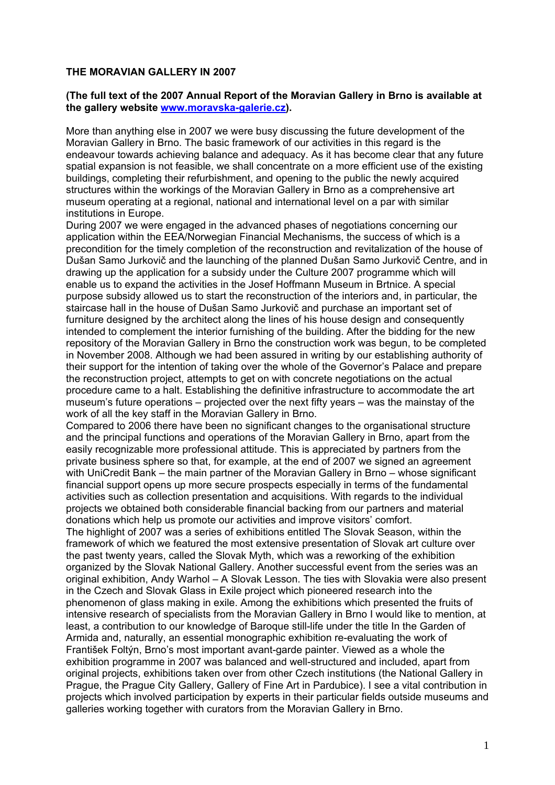### **THE MORAVIAN GALLERY IN 2007**

### **(The full text of the 2007 Annual Report of the Moravian Gallery in Brno is available at the gallery website www.moravska-galerie.cz).**

More than anything else in 2007 we were busy discussing the future development of the Moravian Gallery in Brno. The basic framework of our activities in this regard is the endeavour towards achieving balance and adequacy. As it has become clear that any future spatial expansion is not feasible, we shall concentrate on a more efficient use of the existing buildings, completing their refurbishment, and opening to the public the newly acquired structures within the workings of the Moravian Gallery in Brno as a comprehensive art museum operating at a regional, national and international level on a par with similar institutions in Europe.

During 2007 we were engaged in the advanced phases of negotiations concerning our application within the EEA/Norwegian Financial Mechanisms, the success of which is a precondition for the timely completion of the reconstruction and revitalization of the house of Dušan Samo Jurkovič and the launching of the planned Dušan Samo Jurkovič Centre, and in drawing up the application for a subsidy under the Culture 2007 programme which will enable us to expand the activities in the Josef Hoffmann Museum in Brtnice. A special purpose subsidy allowed us to start the reconstruction of the interiors and, in particular, the staircase hall in the house of Dušan Samo Jurkovič and purchase an important set of furniture designed by the architect along the lines of his house design and consequently intended to complement the interior furnishing of the building. After the bidding for the new repository of the Moravian Gallery in Brno the construction work was begun, to be completed in November 2008. Although we had been assured in writing by our establishing authority of their support for the intention of taking over the whole of the Governor's Palace and prepare the reconstruction project, attempts to get on with concrete negotiations on the actual procedure came to a halt. Establishing the definitive infrastructure to accommodate the art museum's future operations – projected over the next fifty years – was the mainstay of the work of all the key staff in the Moravian Gallery in Brno.

Compared to 2006 there have been no significant changes to the organisational structure and the principal functions and operations of the Moravian Gallery in Brno, apart from the easily recognizable more professional attitude. This is appreciated by partners from the private business sphere so that, for example, at the end of 2007 we signed an agreement with UniCredit Bank – the main partner of the Moravian Gallery in Brno – whose significant financial support opens up more secure prospects especially in terms of the fundamental activities such as collection presentation and acquisitions. With regards to the individual projects we obtained both considerable financial backing from our partners and material donations which help us promote our activities and improve visitors' comfort.

The highlight of 2007 was a series of exhibitions entitled The Slovak Season, within the framework of which we featured the most extensive presentation of Slovak art culture over the past twenty years, called the Slovak Myth, which was a reworking of the exhibition organized by the Slovak National Gallery. Another successful event from the series was an original exhibition, Andy Warhol – A Slovak Lesson. The ties with Slovakia were also present in the Czech and Slovak Glass in Exile project which pioneered research into the phenomenon of glass making in exile. Among the exhibitions which presented the fruits of intensive research of specialists from the Moravian Gallery in Brno I would like to mention, at least, a contribution to our knowledge of Baroque still-life under the title In the Garden of Armida and, naturally, an essential monographic exhibition re-evaluating the work of František Foltýn, Brno's most important avant-garde painter. Viewed as a whole the exhibition programme in 2007 was balanced and well-structured and included, apart from original projects, exhibitions taken over from other Czech institutions (the National Gallery in Prague, the Prague City Gallery, Gallery of Fine Art in Pardubice). I see a vital contribution in projects which involved participation by experts in their particular fields outside museums and galleries working together with curators from the Moravian Gallery in Brno.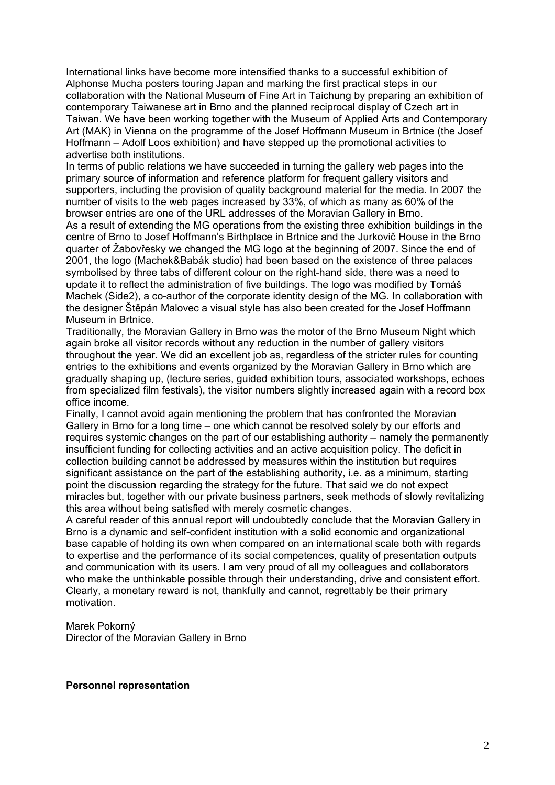International links have become more intensified thanks to a successful exhibition of Alphonse Mucha posters touring Japan and marking the first practical steps in our collaboration with the National Museum of Fine Art in Taichung by preparing an exhibition of contemporary Taiwanese art in Brno and the planned reciprocal display of Czech art in Taiwan. We have been working together with the Museum of Applied Arts and Contemporary Art (MAK) in Vienna on the programme of the Josef Hoffmann Museum in Brtnice (the Josef Hoffmann – Adolf Loos exhibition) and have stepped up the promotional activities to advertise both institutions.

In terms of public relations we have succeeded in turning the gallery web pages into the primary source of information and reference platform for frequent gallery visitors and supporters, including the provision of quality background material for the media. In 2007 the number of visits to the web pages increased by 33%, of which as many as 60% of the browser entries are one of the URL addresses of the Moravian Gallery in Brno.

As a result of extending the MG operations from the existing three exhibition buildings in the centre of Brno to Josef Hoffmann's Birthplace in Brtnice and the Jurkovič House in the Brno quarter of Žabovřesky we changed the MG logo at the beginning of 2007. Since the end of 2001, the logo (Machek&Babák studio) had been based on the existence of three palaces symbolised by three tabs of different colour on the right-hand side, there was a need to update it to reflect the administration of five buildings. The logo was modified by Tomáš Machek (Side2), a co-author of the corporate identity design of the MG. In collaboration with the designer Štěpán Malovec a visual style has also been created for the Josef Hoffmann Museum in Brtnice.

Traditionally, the Moravian Gallery in Brno was the motor of the Brno Museum Night which again broke all visitor records without any reduction in the number of gallery visitors throughout the year. We did an excellent job as, regardless of the stricter rules for counting entries to the exhibitions and events organized by the Moravian Gallery in Brno which are gradually shaping up, (lecture series, guided exhibition tours, associated workshops, echoes from specialized film festivals), the visitor numbers slightly increased again with a record box office income.

Finally, I cannot avoid again mentioning the problem that has confronted the Moravian Gallery in Brno for a long time – one which cannot be resolved solely by our efforts and requires systemic changes on the part of our establishing authority – namely the permanently insufficient funding for collecting activities and an active acquisition policy. The deficit in collection building cannot be addressed by measures within the institution but requires significant assistance on the part of the establishing authority, i.e. as a minimum, starting point the discussion regarding the strategy for the future. That said we do not expect miracles but, together with our private business partners, seek methods of slowly revitalizing this area without being satisfied with merely cosmetic changes.

A careful reader of this annual report will undoubtedly conclude that the Moravian Gallery in Brno is a dynamic and self-confident institution with a solid economic and organizational base capable of holding its own when compared on an international scale both with regards to expertise and the performance of its social competences, quality of presentation outputs and communication with its users. I am very proud of all my colleagues and collaborators who make the unthinkable possible through their understanding, drive and consistent effort. Clearly, a monetary reward is not, thankfully and cannot, regrettably be their primary motivation.

Marek Pokorný

Director of the Moravian Gallery in Brno

**Personnel representation**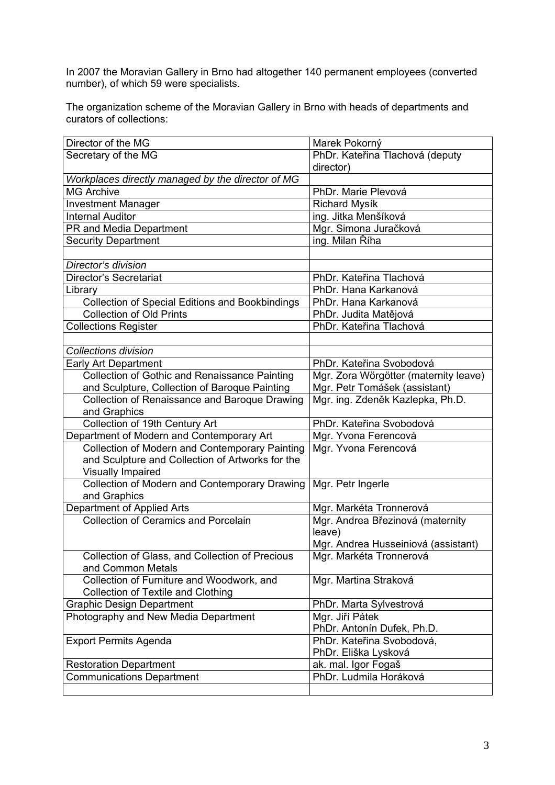In 2007 the Moravian Gallery in Brno had altogether 140 permanent employees (converted messed are instanced sales for since the number), of which 59 were specialists.

The organization scheme of the Moravian Gallery in Brno with heads of departments and curators of collections:

| Director of the MG                                     | Marek Pokorný                         |  |
|--------------------------------------------------------|---------------------------------------|--|
| Secretary of the MG                                    | PhDr. Kateřina Tlachová (deputy       |  |
|                                                        | director)                             |  |
| Workplaces directly managed by the director of MG      |                                       |  |
| <b>MG Archive</b>                                      | PhDr. Marie Plevová                   |  |
| <b>Investment Manager</b>                              | <b>Richard Mysík</b>                  |  |
| <b>Internal Auditor</b>                                | ing. Jitka Menšíková                  |  |
| PR and Media Department                                | Mgr. Simona Juračková                 |  |
| <b>Security Department</b>                             | ing. Milan Říha                       |  |
|                                                        |                                       |  |
| Director's division                                    |                                       |  |
| Director's Secretariat                                 | PhDr. Kateřina Tlachová               |  |
| Library                                                | PhDr. Hana Karkanová                  |  |
| <b>Collection of Special Editions and Bookbindings</b> | PhDr. Hana Karkanová                  |  |
| <b>Collection of Old Prints</b>                        | PhDr. Judita Matějová                 |  |
| <b>Collections Register</b>                            | PhDr. Kateřina Tlachová               |  |
|                                                        |                                       |  |
| <b>Collections division</b>                            |                                       |  |
| Early Art Department                                   | PhDr. Kateřina Svobodová              |  |
| <b>Collection of Gothic and Renaissance Painting</b>   | Mgr. Zora Wörgötter (maternity leave) |  |
| and Sculpture, Collection of Baroque Painting          | Mgr. Petr Tomášek (assistant)         |  |
| Collection of Renaissance and Baroque Drawing          | Mgr. ing. Zdeněk Kazlepka, Ph.D.      |  |
| and Graphics                                           |                                       |  |
| Collection of 19th Century Art                         | PhDr. Kateřina Svobodová              |  |
| Department of Modern and Contemporary Art              | Mgr. Yvona Ferencová                  |  |
| Collection of Modern and Contemporary Painting         | Mgr. Yvona Ferencová                  |  |
| and Sculpture and Collection of Artworks for the       |                                       |  |
| <b>Visually Impaired</b>                               |                                       |  |
| Collection of Modern and Contemporary Drawing          | Mgr. Petr Ingerle                     |  |
| and Graphics                                           |                                       |  |
| Department of Applied Arts                             | Mgr. Markéta Tronnerová               |  |
| <b>Collection of Ceramics and Porcelain</b>            | Mgr. Andrea Březinová (maternity      |  |
|                                                        | leave)                                |  |
|                                                        | Mgr. Andrea Husseiniová (assistant)   |  |
| Collection of Glass, and Collection of Precious        | Mgr. Markéta Tronnerová               |  |
| and Common Metals                                      |                                       |  |
| Collection of Furniture and Woodwork, and              | Mgr. Martina Straková                 |  |
| <b>Collection of Textile and Clothing</b>              |                                       |  |
| <b>Graphic Design Department</b>                       | PhDr. Marta Sylvestrová               |  |
| Photography and New Media Department                   | Mgr. Jiří Pátek                       |  |
|                                                        | PhDr. Antonín Dufek, Ph.D.            |  |
| <b>Export Permits Agenda</b>                           | PhDr. Kateřina Svobodová,             |  |
|                                                        | PhDr. Eliška Lysková                  |  |
| <b>Restoration Department</b>                          | ak. mal. Igor Fogaš                   |  |
| <b>Communications Department</b>                       | PhDr. Ludmila Horáková                |  |
|                                                        |                                       |  |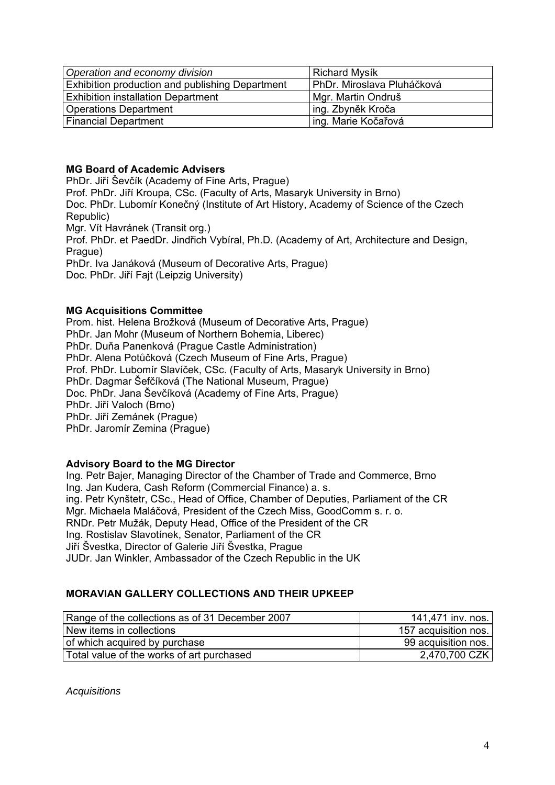| Operation and economy division                         | <b>Richard Mysík</b>       |
|--------------------------------------------------------|----------------------------|
| <b>Exhibition production and publishing Department</b> | PhDr. Miroslava Pluháčková |
| <b>Exhibition installation Department</b>              | Mgr. Martin Ondruš         |
| Operations Department                                  | 'ing. Zbyněk Kroča         |
| <b>Financial Department</b>                            | ing. Marie Kočařová        |

# **MG Board of Academic Advisers**

PhDr. Jiří Ševčík (Academy of Fine Arts, Prague) Prof. PhDr. Jiří Kroupa, CSc. (Faculty of Arts, Masaryk University in Brno) Doc. PhDr. Lubomír Konečný (Institute of Art History, Academy of Science of the Czech Republic) Mgr. Vít Havránek (Transit org.) Prof. PhDr. et PaedDr. Jindřich Vybíral, Ph.D. (Academy of Art, Architecture and Design, Prague) PhDr. Iva Janáková (Museum of Decorative Arts, Prague) Doc. PhDr. Jiří Fajt (Leipzig University)

## **MG Acquisitions Committee**

Prom. hist. Helena Brožková (Museum of Decorative Arts, Prague) PhDr. Jan Mohr (Museum of Northern Bohemia, Liberec) PhDr. Duňa Panenková (Prague Castle Administration) PhDr. Alena Potůčková (Czech Museum of Fine Arts, Prague) Prof. PhDr. Lubomír Slavíček, CSc. (Faculty of Arts, Masaryk University in Brno) PhDr. Dagmar Šefčíková (The National Museum, Prague) Doc. PhDr. Jana Ševčíková (Academy of Fine Arts, Prague) PhDr. Jiří Valoch (Brno) PhDr. Jiří Zemánek (Prague) PhDr. Jaromír Zemina (Prague)

## **Advisory Board to the MG Director**

Ing. Petr Bajer, Managing Director of the Chamber of Trade and Commerce, Brno Ing. Jan Kudera, Cash Reform (Commercial Finance) a. s. ing. Petr Kynštetr, CSc., Head of Office, Chamber of Deputies, Parliament of the CR Mgr. Michaela Maláčová, President of the Czech Miss, GoodComm s. r. o. RNDr. Petr Mužák, Deputy Head, Office of the President of the CR Ing. Rostislav Slavotínek, Senator, Parliament of the CR Jiří Švestka, Director of Galerie Jiří Švestka, Prague JUDr. Jan Winkler, Ambassador of the Czech Republic in the UK

## **MORAVIAN GALLERY COLLECTIONS AND THEIR UPKEEP**

| Range of the collections as of 31 December 2007 | 141,471 inv. nos.    |
|-------------------------------------------------|----------------------|
| New items in collections                        | 157 acquisition nos. |
| of which acquired by purchase                   | 99 acquisition nos.  |
| Total value of the works of art purchased       | 2,470,700 CZK        |

*Acquisitions*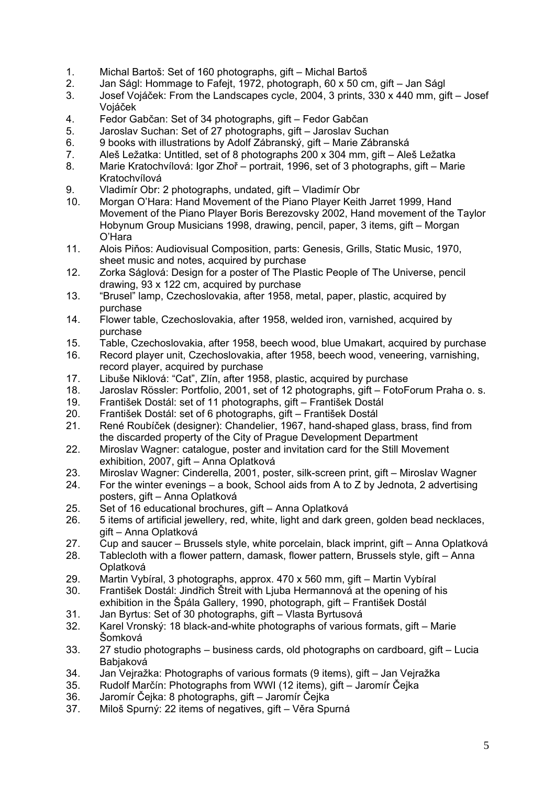- 1. Michal Bartoš: Set of 160 photographs, gift Michal Bartoš
- 2. Jan Ságl: Hommage to Fafejt, 1972, photograph, 60 x 50 cm, gift Jan Ságl
- 3. Josef Vojáček: From the Landscapes cycle, 2004, 3 prints, 330 x 440 mm, gift Josef Vojáček
- 4. Fedor Gabčan: Set of 34 photographs, gift Fedor Gabčan
- 5. Jaroslav Suchan: Set of 27 photographs, gift Jaroslav Suchan
- 6. 9 books with illustrations by Adolf Zábranský, gift Marie Zábranská
- 7. Aleš Ležatka: Untitled, set of 8 photographs 200 x 304 mm, gift Aleš Ležatka
- 8. Marie Kratochvílová: Igor Zhoř portrait, 1996, set of 3 photographs, gift Marie Kratochvílová
- 9. Vladimír Obr: 2 photographs, undated, gift Vladimír Obr
- 10. Morgan O'Hara: Hand Movement of the Piano Player Keith Jarret 1999, Hand Movement of the Piano Player Boris Berezovsky 2002, Hand movement of the Taylor Hobynum Group Musicians 1998, drawing, pencil, paper, 3 items, gift – Morgan O'Hara
- 11. Alois Piňos: Audiovisual Composition, parts: Genesis, Grills, Static Music, 1970, sheet music and notes, acquired by purchase
- 12. Zorka Ságlová: Design for a poster of The Plastic People of The Universe, pencil drawing, 93 x 122 cm, acquired by purchase
- 13. "Brusel" lamp, Czechoslovakia, after 1958, metal, paper, plastic, acquired by purchase
- 14. Flower table, Czechoslovakia, after 1958, welded iron, varnished, acquired by purchase
- 15. Table, Czechoslovakia, after 1958, beech wood, blue Umakart, acquired by purchase
- 16. Record player unit, Czechoslovakia, after 1958, beech wood, veneering, varnishing, record player, acquired by purchase
- 17. Libuše Niklová: "Cat", Zlín, after 1958, plastic, acquired by purchase
- 18. Jaroslav Rössler: Portfolio, 2001, set of 12 photographs, gift FotoForum Praha o. s.
- 19. František Dostál: set of 11 photographs, gift František Dostál
- 20. František Dostál: set of 6 photographs, gift František Dostál
- 21. René Roubíček (designer): Chandelier, 1967, hand-shaped glass, brass, find from the discarded property of the City of Prague Development Department
- 22. Miroslav Wagner: catalogue, poster and invitation card for the Still Movement exhibition, 2007, gift – Anna Oplatková
- 23. Miroslav Wagner: Cinderella, 2001, poster, silk-screen print, gift Miroslav Wagner
- 24. For the winter evenings a book, School aids from A to Z by Jednota, 2 advertising posters, gift – Anna Oplatková
- 25. Set of 16 educational brochures, gift Anna Oplatková
- 26. 5 items of artificial jewellery, red, white, light and dark green, golden bead necklaces, gift – Anna Oplatková
- 27. Cup and saucer Brussels style, white porcelain, black imprint, gift Anna Oplatková
- 28. Tablecloth with a flower pattern, damask, flower pattern, Brussels style, gift Anna Oplatková
- 29. Martin Vybíral, 3 photographs, approx. 470 x 560 mm, gift Martin Vybíral
- 30. František Dostál: Jindřich Štreit with Ljuba Hermannová at the opening of his exhibition in the Špála Gallery, 1990, photograph, gift – František Dostál
- 31. Jan Byrtus: Set of 30 photographs, gift Vlasta Byrtusová
- 32. Karel Vronský: 18 black-and-white photographs of various formats, gift Marie Šomková
- 33. 27 studio photographs business cards, old photographs on cardboard, gift Lucia Babjaková
- 34. Jan Vejražka: Photographs of various formats (9 items), gift Jan Vejražka
- 35. Rudolf Marčín: Photographs from WWI (12 items), gift Jaromír Čejka
- 36. Jaromír Čejka: 8 photographs, gift Jaromír Čejka
- 37. Miloš Spurný: 22 items of negatives, gift Věra Spurná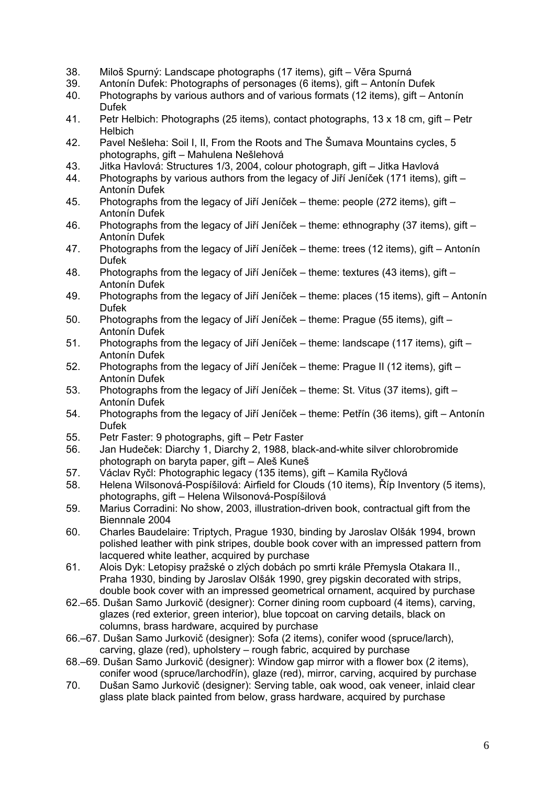- 38. Miloš Spurný: Landscape photographs (17 items), gift Věra Spurná
- 39. Antonín Dufek: Photographs of personages (6 items), gift Antonín Dufek
- 40. Photographs by various authors and of various formats (12 items), gift Antonín Dufek
- 41. Petr Helbich: Photographs (25 items), contact photographs, 13 x 18 cm, gift Petr Helbich
- 42. Pavel Nešleha: Soil I, II, From the Roots and The Šumava Mountains cycles, 5 photographs, gift – Mahulena Nešlehová
- 43. Jitka Havlová: Structures 1/3, 2004, colour photograph, gift Jitka Havlová
- 44. Photographs by various authors from the legacy of Jiří Jeníček (171 items), gift Antonín Dufek
- 45. Photographs from the legacy of Jiří Jeníček theme: people (272 items), gift Antonín Dufek
- 46. Photographs from the legacy of Jiří Jeníček theme: ethnography (37 items), gift Antonín Dufek
- 47. Photographs from the legacy of Jiří Jeníček theme: trees (12 items), gift Antonín Dufek
- 48. Photographs from the legacy of Jiří Jeníček theme: textures (43 items), gift Antonín Dufek
- 49. Photographs from the legacy of Jiří Jeníček theme: places (15 items), gift Antonín Dufek
- 50. Photographs from the legacy of Jiří Jeníček theme: Prague (55 items), gift Antonín Dufek
- 51. Photographs from the legacy of Jiří Jeníček theme: landscape (117 items), gift Antonín Dufek
- 52. Photographs from the legacy of Jiří Jeníček theme: Prague II (12 items), gift Antonín Dufek
- 53. Photographs from the legacy of Jiří Jeníček theme: St. Vitus (37 items), gift Antonín Dufek
- 54. Photographs from the legacy of Jiří Jeníček theme: Petřín (36 items), gift Antonín Dufek
- 55. Petr Faster: 9 photographs, gift Petr Faster
- 56. Jan Hudeček: Diarchy 1, Diarchy 2, 1988, black-and-white silver chlorobromide photograph on baryta paper, gift – Aleš Kuneš
- 57. Václav Ryčl: Photographic legacy (135 items), gift Kamila Ryčlová
- 58. Helena Wilsonová-Pospíšilová: Airfield for Clouds (10 items), Říp Inventory (5 items), photographs, gift – Helena Wilsonová-Pospíšilová
- 59. Marius Corradini: No show, 2003, illustration-driven book, contractual gift from the Biennnale 2004
- 60. Charles Baudelaire: Triptych, Prague 1930, binding by Jaroslav Olšák 1994, brown polished leather with pink stripes, double book cover with an impressed pattern from lacquered white leather, acquired by purchase
- 61. Alois Dyk: Letopisy pražské o zlých dobách po smrti krále Přemysla Otakara II., Praha 1930, binding by Jaroslav Olšák 1990, grey pigskin decorated with strips, double book cover with an impressed geometrical ornament, acquired by purchase
- 62.–65. Dušan Samo Jurkovič (designer): Corner dining room cupboard (4 items), carving, glazes (red exterior, green interior), blue topcoat on carving details, black on columns, brass hardware, acquired by purchase
- 66.–67. Dušan Samo Jurkovič (designer): Sofa (2 items), conifer wood (spruce/larch), carving, glaze (red), upholstery – rough fabric, acquired by purchase
- 68.–69. Dušan Samo Jurkovič (designer): Window gap mirror with a flower box (2 items), conifer wood (spruce/larchodřín), glaze (red), mirror, carving, acquired by purchase
- 70. Dušan Samo Jurkovič (designer): Serving table, oak wood, oak veneer, inlaid clear glass plate black painted from below, grass hardware, acquired by purchase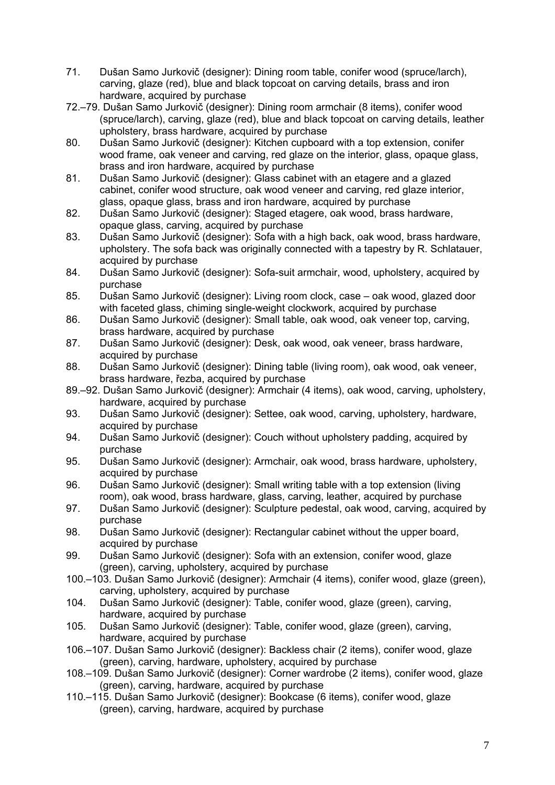- 71. Dušan Samo Jurkovič (designer): Dining room table, conifer wood (spruce/larch), carving, glaze (red), blue and black topcoat on carving details, brass and iron hardware, acquired by purchase
- 72.–79. Dušan Samo Jurkovič (designer): Dining room armchair (8 items), conifer wood (spruce/larch), carving, glaze (red), blue and black topcoat on carving details, leather upholstery, brass hardware, acquired by purchase
- 80. Dušan Samo Jurkovič (designer): Kitchen cupboard with a top extension, conifer wood frame, oak veneer and carving, red glaze on the interior, glass, opaque glass, brass and iron hardware, acquired by purchase
- 81. Dušan Samo Jurkovič (designer): Glass cabinet with an etagere and a glazed cabinet, conifer wood structure, oak wood veneer and carving, red glaze interior, glass, opaque glass, brass and iron hardware, acquired by purchase
- 82. Dušan Samo Jurkovič (designer): Staged etagere, oak wood, brass hardware, opaque glass, carving, acquired by purchase
- 83. Dušan Samo Jurkovič (designer): Sofa with a high back, oak wood, brass hardware, upholstery. The sofa back was originally connected with a tapestry by R. Schlatauer, acquired by purchase
- 84. Dušan Samo Jurkovič (designer): Sofa-suit armchair, wood, upholstery, acquired by purchase
- 85. Dušan Samo Jurkovič (designer): Living room clock, case oak wood, glazed door with faceted glass, chiming single-weight clockwork, acquired by purchase
- 86. Dušan Samo Jurkovič (designer): Small table, oak wood, oak veneer top, carving, brass hardware, acquired by purchase
- 87. Dušan Samo Jurkovič (designer): Desk, oak wood, oak veneer, brass hardware, acquired by purchase
- 88. Dušan Samo Jurkovič (designer): Dining table (living room), oak wood, oak veneer, brass hardware, řezba, acquired by purchase
- 89.–92. Dušan Samo Jurkovič (designer): Armchair (4 items), oak wood, carving, upholstery, hardware, acquired by purchase
- 93. Dušan Samo Jurkovič (designer): Settee, oak wood, carving, upholstery, hardware, acquired by purchase
- 94. Dušan Samo Jurkovič (designer): Couch without upholstery padding, acquired by purchase
- 95. Dušan Samo Jurkovič (designer): Armchair, oak wood, brass hardware, upholstery, acquired by purchase
- 96. Dušan Samo Jurkovič (designer): Small writing table with a top extension (living room), oak wood, brass hardware, glass, carving, leather, acquired by purchase
- 97. Dušan Samo Jurkovič (designer): Sculpture pedestal, oak wood, carving, acquired by purchase
- 98. Dušan Samo Jurkovič (designer): Rectangular cabinet without the upper board, acquired by purchase
- 99. Dušan Samo Jurkovič (designer): Sofa with an extension, conifer wood, glaze (green), carving, upholstery, acquired by purchase
- 100.–103. Dušan Samo Jurkovič (designer): Armchair (4 items), conifer wood, glaze (green), carving, upholstery, acquired by purchase
- 104. Dušan Samo Jurkovič (designer): Table, conifer wood, glaze (green), carving, hardware, acquired by purchase
- 105. Dušan Samo Jurkovič (designer): Table, conifer wood, glaze (green), carving, hardware, acquired by purchase
- 106.–107. Dušan Samo Jurkovič (designer): Backless chair (2 items), conifer wood, glaze (green), carving, hardware, upholstery, acquired by purchase
- 108.–109. Dušan Samo Jurkovič (designer): Corner wardrobe (2 items), conifer wood, glaze (green), carving, hardware, acquired by purchase
- 110.–115. Dušan Samo Jurkovič (designer): Bookcase (6 items), conifer wood, glaze (green), carving, hardware, acquired by purchase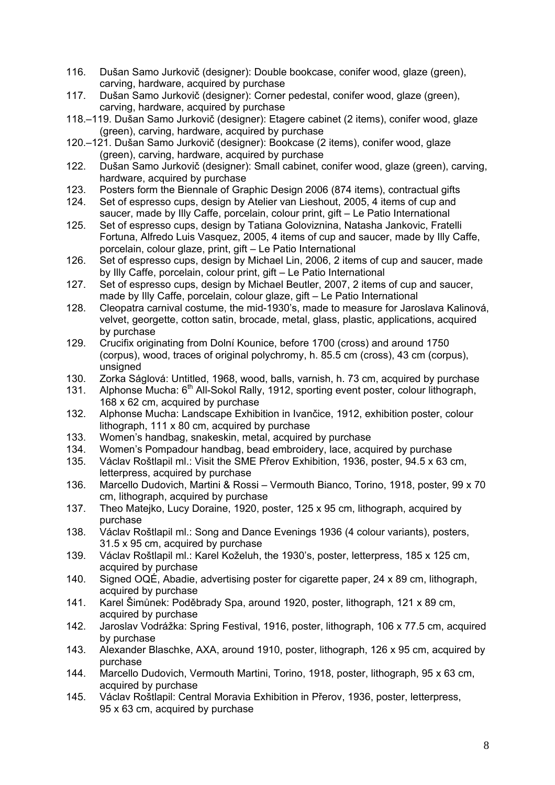- 116. Dušan Samo Jurkovič (designer): Double bookcase, conifer wood, glaze (green), carving, hardware, acquired by purchase
- 117. Dušan Samo Jurkovič (designer): Corner pedestal, conifer wood, glaze (green), carving, hardware, acquired by purchase
- 118.–119. Dušan Samo Jurkovič (designer): Etagere cabinet (2 items), conifer wood, glaze (green), carving, hardware, acquired by purchase
- 120.–121. Dušan Samo Jurkovič (designer): Bookcase (2 items), conifer wood, glaze (green), carving, hardware, acquired by purchase
- 122. Dušan Samo Jurkovič (designer): Small cabinet, conifer wood, glaze (green), carving, hardware, acquired by purchase
- 123. Posters form the Biennale of Graphic Design 2006 (874 items), contractual gifts
- 124. Set of espresso cups, design by Atelier van Lieshout, 2005, 4 items of cup and saucer, made by Illy Caffe, porcelain, colour print, gift – Le Patio International
- 125. Set of espresso cups, design by Tatiana Goloviznina, Natasha Jankovic, Fratelli Fortuna, Alfredo Luis Vasquez, 2005, 4 items of cup and saucer, made by Illy Caffe, porcelain, colour glaze, print, gift – Le Patio International
- 126. Set of espresso cups, design by Michael Lin, 2006, 2 items of cup and saucer, made by Illy Caffe, porcelain, colour print, gift – Le Patio International
- 127. Set of espresso cups, design by Michael Beutler, 2007, 2 items of cup and saucer, made by Illy Caffe, porcelain, colour glaze, gift – Le Patio International
- 128. Cleopatra carnival costume, the mid-1930's, made to measure for Jaroslava Kalinová, velvet, georgette, cotton satin, brocade, metal, glass, plastic, applications, acquired by purchase
- 129. Crucifix originating from Dolní Kounice, before 1700 (cross) and around 1750 (corpus), wood, traces of original polychromy, h. 85.5 cm (cross), 43 cm (corpus), unsigned
- 130. Zorka Ságlová: Untitled, 1968, wood, balls, varnish, h. 73 cm, acquired by purchase
- 131. Alphonse Mucha:  $6<sup>th</sup>$  All-Sokol Rally, 1912, sporting event poster, colour lithograph, 168 x 62 cm, acquired by purchase
- 132. Alphonse Mucha: Landscape Exhibition in Ivančice, 1912, exhibition poster, colour lithograph, 111 x 80 cm, acquired by purchase
- 133. Women's handbag, snakeskin, metal, acquired by purchase
- 134. Women's Pompadour handbag, bead embroidery, lace, acquired by purchase
- 135. Václav Roštlapil ml.: Visit the SME Přerov Exhibition, 1936, poster, 94.5 x 63 cm, letterpress, acquired by purchase
- 136. Marcello Dudovich, Martini & Rossi Vermouth Bianco, Torino, 1918, poster, 99 x 70 cm, lithograph, acquired by purchase
- 137. Theo Matejko, Lucy Doraine, 1920, poster, 125 x 95 cm, lithograph, acquired by purchase
- 138. Václav Roštlapil ml.: Song and Dance Evenings 1936 (4 colour variants), posters, 31.5 x 95 cm, acquired by purchase
- 139. Václav Roštlapil ml.: Karel Koželuh, the 1930's, poster, letterpress, 185 x 125 cm, acquired by purchase
- 140. Signed OQÉ, Abadie, advertising poster for cigarette paper, 24 x 89 cm, lithograph, acquired by purchase
- 141. Karel Šimůnek: Poděbrady Spa, around 1920, poster, lithograph, 121 x 89 cm, acquired by purchase
- 142. Jaroslav Vodrážka: Spring Festival, 1916, poster, lithograph, 106 x 77.5 cm, acquired by purchase
- 143. Alexander Blaschke, AXA, around 1910, poster, lithograph, 126 x 95 cm, acquired by purchase
- 144. Marcello Dudovich, Vermouth Martini, Torino, 1918, poster, lithograph, 95 x 63 cm, acquired by purchase
- 145. Václav Roštlapil: Central Moravia Exhibition in Přerov, 1936, poster, letterpress, 95 x 63 cm, acquired by purchase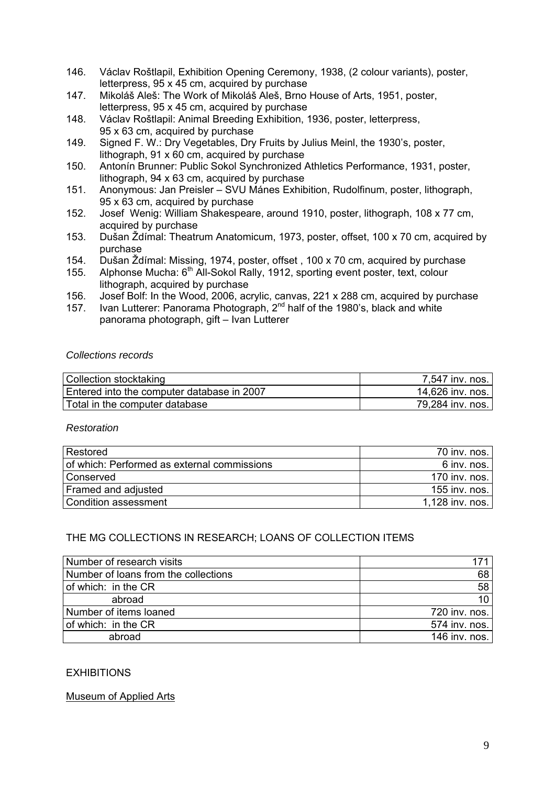- 146. Václav Roštlapil, Exhibition Opening Ceremony, 1938, (2 colour variants), poster, letterpress, 95 x 45 cm, acquired by purchase
- 147. Mikoláš Aleš: The Work of Mikoláš Aleš, Brno House of Arts, 1951, poster, letterpress, 95 x 45 cm, acquired by purchase
- 148. Václav Roštlapil: Animal Breeding Exhibition, 1936, poster, letterpress, 95 x 63 cm, acquired by purchase
- 149. Signed F. W.: Dry Vegetables, Dry Fruits by Julius Meinl, the 1930's, poster, lithograph, 91 x 60 cm, acquired by purchase
- 150. Antonín Brunner: Public Sokol Synchronized Athletics Performance, 1931, poster, lithograph, 94 x 63 cm, acquired by purchase
- 151. Anonymous: Jan Preisler SVU Mánes Exhibition, Rudolfinum, poster, lithograph, 95 x 63 cm, acquired by purchase
- 152. Josef Wenig: William Shakespeare, around 1910, poster, lithograph, 108 x 77 cm, acquired by purchase
- 153. Dušan Ždímal: Theatrum Anatomicum, 1973, poster, offset, 100 x 70 cm, acquired by purchase
- 154. Dušan Ždímal: Missing, 1974, poster, offset , 100 x 70 cm, acquired by purchase
- 155. Alphonse Mucha: 6<sup>th</sup> All-Sokol Rally, 1912, sporting event poster, text, colour lithograph, acquired by purchase
- 156. Josef Bolf: In the Wood, 2006, acrylic, canvas, 221 x 288 cm, acquired by purchase
- 157. Ivan Lutterer: Panorama Photograph, 2<sup>nd</sup> half of the 1980's, black and white panorama photograph, gift – Ivan Lutterer

### *Collections records*

| Collection stocktaking                     | 7,547 inv. nos.  |
|--------------------------------------------|------------------|
| Entered into the computer database in 2007 | 14,626 inv. nos. |
| Total in the computer database             | 79,284 inv. nos. |

#### *Restoration*

| Restored                                    | 70 inv. nos.    |
|---------------------------------------------|-----------------|
| of which: Performed as external commissions | 6 inv. nos.     |
| Conserved                                   | 170 inv. nos.   |
| Framed and adjusted                         | 155 inv. nos. 1 |
| Condition assessment                        | 1,128 inv. nos. |

## THE MG COLLECTIONS IN RESEARCH; LOANS OF COLLECTION ITEMS

| Number of research visits            | 171 I           |
|--------------------------------------|-----------------|
| Number of loans from the collections | 68              |
| of which: in the CR                  | 58              |
| abroad                               | 10 <sup>1</sup> |
| Number of items loaned               | 720 inv. nos.   |
| of which: in the CR                  | 574 inv. nos.   |
| abroad                               | 146 inv. nos.   |

## **EXHIBITIONS**

## Museum of Applied Arts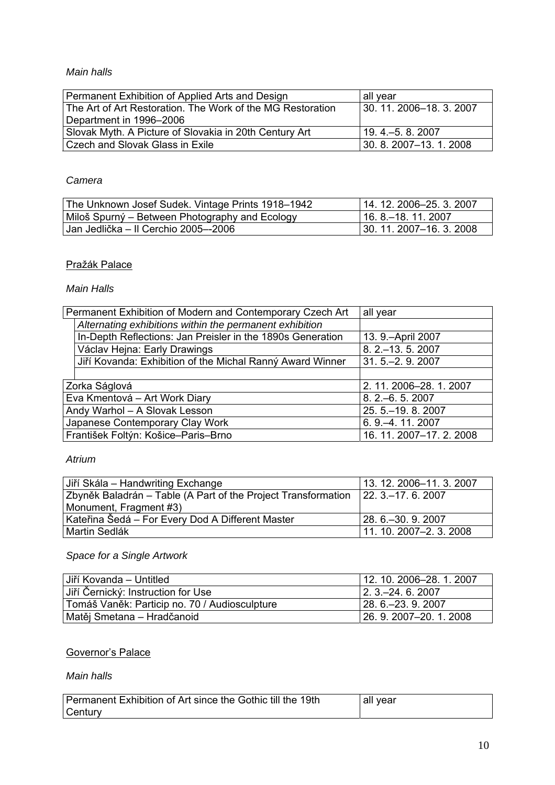## *Main halls*

| Permanent Exhibition of Applied Arts and Design            | all year                  |
|------------------------------------------------------------|---------------------------|
| The Art of Art Restoration. The Work of the MG Restoration | 130, 11, 2006–18, 3, 2007 |
| Department in 1996-2006                                    |                           |
| Slovak Myth. A Picture of Slovakia in 20th Century Art     | l 19. 4.–5. 8. 2007       |
| Czech and Slovak Glass in Exile                            | 130, 8, 2007–13, 1, 2008  |

## *Camera*

| The Unknown Josef Sudek. Vintage Prints 1918–1942 | l 14. 12. 2006–25. 3. 2007      |
|---------------------------------------------------|---------------------------------|
| Miloš Spurný – Between Photography and Ecology    | l 16. 8.–18. 11. 2007           |
| Jan Jedlička – II Cerchio 2005–-2006              | $\mid$ 30. 11. 2007–16. 3. 2008 |

# Pražák Palace

## *Main Halls*

| Permanent Exhibition of Modern and Contemporary Czech Art  | all year                 |
|------------------------------------------------------------|--------------------------|
| Alternating exhibitions within the permanent exhibition    |                          |
| In-Depth Reflections: Jan Preisler in the 1890s Generation | 13. 9. - April 2007      |
| Václav Hejna: Early Drawings                               | 8. 2 .- 13. 5. 2007      |
| Jiří Kovanda: Exhibition of the Michal Ranný Award Winner  | 31.5 .- 2.9.2007         |
|                                                            |                          |
| Zorka Ságlová                                              | 2. 11. 2006-28. 1. 2007  |
| Eva Kmentová – Art Work Diary                              | $8.2 - 6.5.2007$         |
| Andy Warhol - A Slovak Lesson                              | 25.5 . - 19.8.2007       |
| Japanese Contemporary Clay Work                            | 6.9 - 4.11.2007          |
| František Foltýn: Košice-Paris-Brno                        | 16. 11. 2007-17. 2. 2008 |

## *Atrium*

| Jiří Skála – Handwriting Exchange                                                  | 13. 12. 2006-11. 3. 2007 |
|------------------------------------------------------------------------------------|--------------------------|
| Zbyněk Baladrán – Table (A Part of the Project Transformation   22. 3.–17. 6. 2007 |                          |
| Monument, Fragment #3)                                                             |                          |
| Kateřina Šedá – For Every Dod A Different Master                                   | l 28. 6.–30. 9. 2007     |
| l Martin Sedlák                                                                    | $11.10.2007 - 2.3.2008$  |

# *Space for a Single Artwork*

| Jiří Kovanda – Untitled                       | $12.10.2006 - 28.1.2007$ |
|-----------------------------------------------|--------------------------|
| Jiří Černický: Instruction for Use            | $12.3 - 24.6.2007$       |
| Tomáš Vaněk: Particip no. 70 / Audiosculpture | $ 28, 6, -23, 9, 2007$   |
| Matěj Smetana – Hradčanoid                    | 126.9.2007–20.1.2008     |

# Governor's Palace

### *Main halls*

| Permanent Exhibition of Art since the Gothic till the 19th | all vear |
|------------------------------------------------------------|----------|
| <b>Century</b>                                             |          |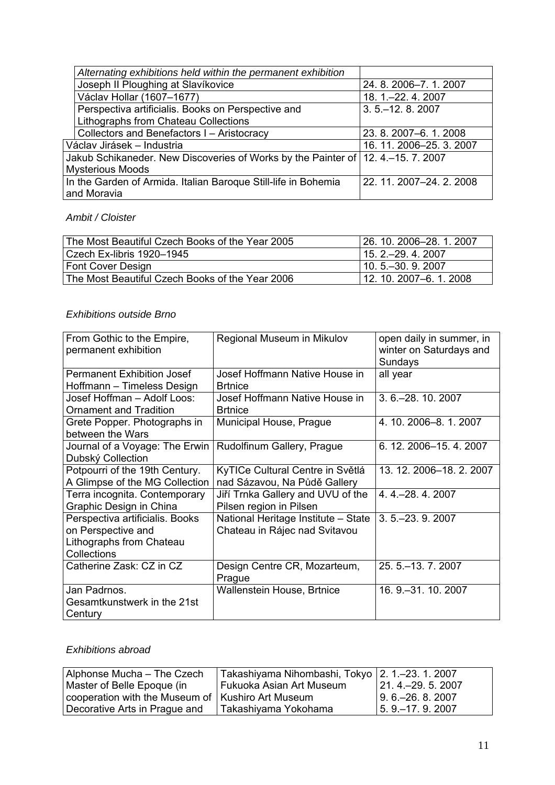|                                                                                    | Alternating exhibitions held within the permanent exhibition   |                          |
|------------------------------------------------------------------------------------|----------------------------------------------------------------|--------------------------|
|                                                                                    | Joseph II Ploughing at Slavíkovice                             | 24.8.2006-7.1.2007       |
|                                                                                    | Václav Hollar (1607–1677)                                      | 18. 1. - 22. 4. 2007     |
|                                                                                    | Perspectiva artificialis. Books on Perspective and             | $3.5 - 12.8.2007$        |
|                                                                                    | Lithographs from Chateau Collections                           |                          |
|                                                                                    | Collectors and Benefactors I - Aristocracy                     | 23. 8. 2007-6. 1. 2008   |
|                                                                                    | Václav Jirásek – Industria                                     | 16. 11. 2006-25. 3. 2007 |
| Jakub Schikaneder. New Discoveries of Works by the Painter of   12. 4.–15. 7. 2007 |                                                                |                          |
|                                                                                    | Mysterious Moods                                               |                          |
|                                                                                    | In the Garden of Armida. Italian Baroque Still-life in Bohemia | 22. 11. 2007-24. 2. 2008 |
|                                                                                    | and Moravia                                                    |                          |

## *Ambit / Cloister*

| The Most Beautiful Czech Books of the Year 2005 | 26. 10. 2006–28. 1. 2007 |
|-------------------------------------------------|--------------------------|
| Czech Ex-libris 1920–1945                       | $115.2 - 29.4.2007$      |
| <b>Font Cover Design</b>                        | $10.5 - 30.9.2007$       |
| The Most Beautiful Czech Books of the Year 2006 | 12. 10. 2007–6. 1. 2008  |

## *Exhibitions outside Brno*

| From Gothic to the Empire,<br>permanent exhibition                                                      | Regional Museum in Mikulov                                           | open daily in summer, in<br>winter on Saturdays and<br>Sundays |
|---------------------------------------------------------------------------------------------------------|----------------------------------------------------------------------|----------------------------------------------------------------|
| <b>Permanent Exhibition Josef</b><br>Hoffmann - Timeless Design                                         | Josef Hoffmann Native House in<br><b>Brtnice</b>                     | all year                                                       |
| Josef Hoffman - Adolf Loos:<br><b>Ornament and Tradition</b>                                            | Josef Hoffmann Native House in<br><b>Brtnice</b>                     | 3. 6. - 28. 10. 2007                                           |
| Grete Popper. Photographs in<br>between the Wars                                                        | Municipal House, Prague                                              | 4. 10. 2006-8. 1. 2007                                         |
| Journal of a Voyage: The Erwin<br>Dubský Collection                                                     | Rudolfinum Gallery, Prague                                           | 6. 12. 2006-15. 4. 2007                                        |
| Potpourri of the 19th Century.<br>A Glimpse of the MG Collection                                        | KyTICe Cultural Centre in Světlá<br>nad Sázavou, Na Půdě Gallery     | 13. 12. 2006-18. 2. 2007                                       |
| Terra incognita. Contemporary<br>Graphic Design in China                                                | Jiří Trnka Gallery and UVU of the<br>Pilsen region in Pilsen         | $4.4 - 28.4.2007$                                              |
| Perspectiva artificialis. Books<br>on Perspective and<br>Lithographs from Chateau<br><b>Collections</b> | National Heritage Institute - State<br>Chateau in Rájec nad Svitavou | $3.5 - 23.9.2007$                                              |
| Catherine Zask: CZ in CZ                                                                                | Design Centre CR, Mozarteum,<br>Prague                               | 25. 5. - 13. 7. 2007                                           |
| Jan Padrnos.<br>Gesamtkunstwerk in the 21st<br>Century                                                  | Wallenstein House, Brtnice                                           | 16. 9. - 31. 10. 2007                                          |

## *Exhibitions abroad*

| Alphonse Mucha - The Czech                          | Takashiyama Nihombashi, Tokyo   2. 1.–23. 1. 2007 |                     |
|-----------------------------------------------------|---------------------------------------------------|---------------------|
| Master of Belle Epoque (in                          | Fukuoka Asian Art Museum                          | $ 21.4 - 29.5.2007$ |
| cooperation with the Museum of   Kushiro Art Museum |                                                   | $ 9.6 - 26.8.2007$  |
| Decorative Arts in Prague and                       | 'Takashiyama Yokohama                             | 15.9. – 17.9.2007   |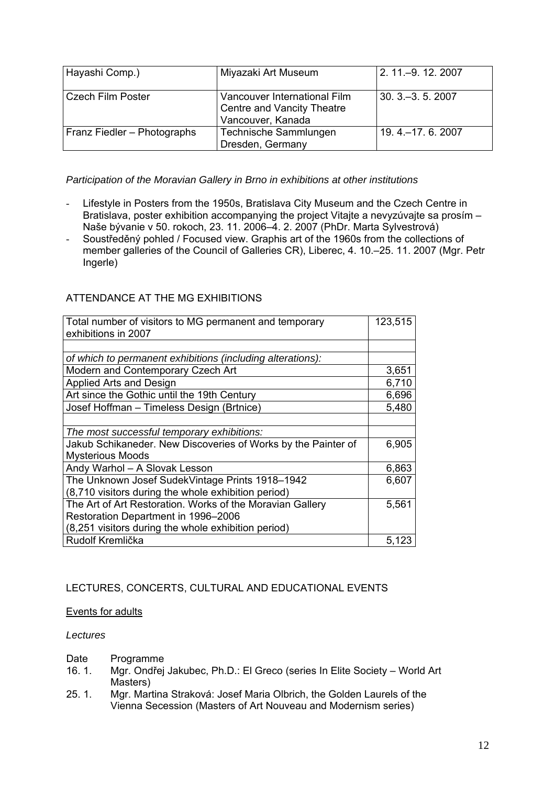| Hayashi Comp.)              | Miyazaki Art Museum                                                             | 2. 11 .- 9. 12. 2007 |
|-----------------------------|---------------------------------------------------------------------------------|----------------------|
| <b>Czech Film Poster</b>    | Vancouver International Film<br>Centre and Vancity Theatre<br>Vancouver, Kanada | $30.3 - 3.5.2007$    |
| Franz Fiedler - Photographs | Technische Sammlungen<br>Dresden, Germany                                       | 19.4 .- 17.6.2007    |

*Participation of the Moravian Gallery in Brno in exhibitions at other institutions* 

- Lifestyle in Posters from the 1950s. Bratislava City Museum and the Czech Centre in Bratislava, poster exhibition accompanying the project Vitajte a nevyzúvajte sa prosím -Naše bývanie v 50. rokoch, 23. 11. 2006–4. 2. 2007 (PhDr. Marta Sylvestrová)
- Soustředěný pohled / Focused view. Graphis art of the 1960s from the collections of member galleries of the Council of Galleries CR), Liberec, 4. 10.–25. 11. 2007 (Mgr. Petr Ingerle)

# ATTENDANCE AT THE MG EXHIBITIONS

| Total number of visitors to MG permanent and temporary<br>exhibitions in 2007 |       |
|-------------------------------------------------------------------------------|-------|
|                                                                               |       |
| of which to permanent exhibitions (including alterations):                    |       |
| Modern and Contemporary Czech Art                                             | 3,651 |
| Applied Arts and Design                                                       | 6,710 |
| Art since the Gothic until the 19th Century                                   | 6,696 |
| Josef Hoffman - Timeless Design (Brtnice)                                     | 5,480 |
|                                                                               |       |
| The most successful temporary exhibitions:                                    |       |
| Jakub Schikaneder. New Discoveries of Works by the Painter of                 | 6,905 |
| <b>Mysterious Moods</b>                                                       |       |
| Andy Warhol - A Slovak Lesson                                                 | 6,863 |
| The Unknown Josef SudekVintage Prints 1918-1942                               | 6,607 |
| (8,710 visitors during the whole exhibition period)                           |       |
| The Art of Art Restoration. Works of the Moravian Gallery                     | 5,561 |
| Restoration Department in 1996-2006                                           |       |
| (8,251 visitors during the whole exhibition period)                           |       |
| Rudolf Kremlička                                                              | 5,123 |

# LECTURES, CONCERTS, CULTURAL AND EDUCATIONAL EVENTS

## Events for adults

## *Lectures*

- Date Programme
- 16. 1. Mgr. Ondřej Jakubec, Ph.D.: El Greco (series In Elite Society World Art Masters)
- 25. 1. Mgr. Martina Straková: Josef Maria Olbrich, the Golden Laurels of the Vienna Secession (Masters of Art Nouveau and Modernism series)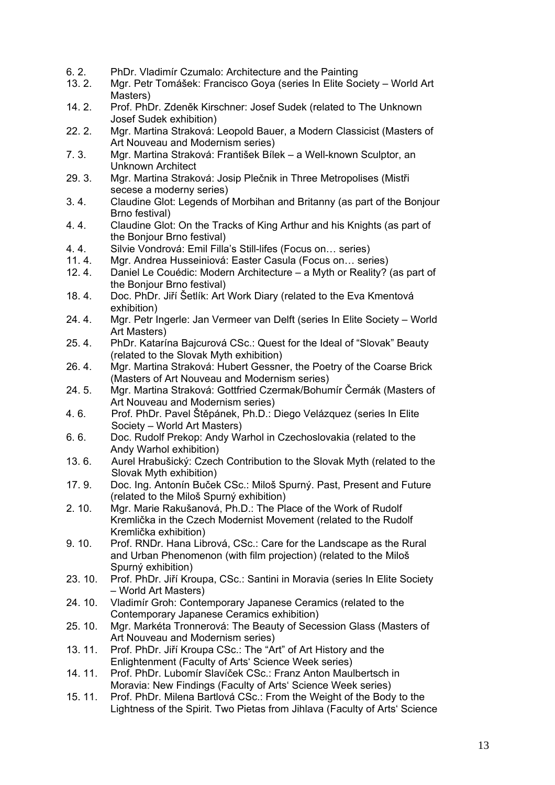- 6. 2. PhDr. Vladimír Czumalo: Architecture and the Painting
- 13. 2. Mgr. Petr Tomášek: Francisco Goya (series In Elite Society World Art Masters)
- 14. 2. Prof. PhDr. Zdeněk Kirschner: Josef Sudek (related to The Unknown Josef Sudek exhibition)
- 22. 2. Mgr. Martina Straková: Leopold Bauer, a Modern Classicist (Masters of Art Nouveau and Modernism series)
- 7. 3. Mgr. Martina Straková: František Bílek a Well-known Sculptor, an Unknown Architect
- 29. 3. Mgr. Martina Straková: Josip Plečnik in Three Metropolises (Mistři secese a moderny series)
- 3. 4. Claudine Glot: Legends of Morbihan and Britanny (as part of the Bonjour Brno festival)
- 4. 4. Claudine Glot: On the Tracks of King Arthur and his Knights (as part of the Bonjour Brno festival)
- 4. 4. Silvie Vondrová: Emil Filla's Still-lifes (Focus on… series)
- 11. 4. Mgr. Andrea Husseiniová: Easter Casula (Focus on… series)
- 12. 4. Daniel Le Couédic: Modern Architecture a Myth or Reality? (as part of the Bonjour Brno festival)
- 18. 4. Doc. PhDr. Jiří Šetlík: Art Work Diary (related to the Eva Kmentová exhibition)
- 24. 4. Mgr. Petr Ingerle: Jan Vermeer van Delft (series In Elite Society World Art Masters)
- 25. 4. PhDr. Katarína Bajcurová CSc.: Quest for the Ideal of "Slovak" Beauty (related to the Slovak Myth exhibition)
- 26. 4. Mgr. Martina Straková: Hubert Gessner, the Poetry of the Coarse Brick (Masters of Art Nouveau and Modernism series)
- 24. 5. Mgr. Martina Straková: Gottfried Czermak/Bohumír Čermák (Masters of Art Nouveau and Modernism series)
- 4. 6. Prof. PhDr. Pavel Štěpánek, Ph.D.: Diego Velázquez (series In Elite Society – World Art Masters)
- 6. 6. Doc. Rudolf Prekop: Andy Warhol in Czechoslovakia (related to the Andy Warhol exhibition)
- 13. 6. Aurel Hrabušický: Czech Contribution to the Slovak Myth (related to the Slovak Myth exhibition)
- 17. 9. Doc. Ing. Antonín Buček CSc.: Miloš Spurný. Past, Present and Future (related to the Miloš Spurný exhibition)
- 2. 10. Mgr. Marie Rakušanová, Ph.D.: The Place of the Work of Rudolf Kremlička in the Czech Modernist Movement (related to the Rudolf Kremlička exhibition)
- 9. 10. Prof. RNDr. Hana Librová, CSc.: Care for the Landscape as the Rural and Urban Phenomenon (with film projection) (related to the Miloš Spurný exhibition)
- 23. 10. Prof. PhDr. Jiří Kroupa, CSc.: Santini in Moravia (series In Elite Society – World Art Masters)
- 24. 10. Vladimír Groh: Contemporary Japanese Ceramics (related to the Contemporary Japanese Ceramics exhibition)
- 25. 10. Mgr. Markéta Tronnerová: The Beauty of Secession Glass (Masters of Art Nouveau and Modernism series)
- 13. 11. Prof. PhDr. Jiří Kroupa CSc.: The "Art" of Art History and the Enlightenment (Faculty of Arts' Science Week series)
- 14. 11. Prof. PhDr. Lubomír Slavíček CSc.: Franz Anton Maulbertsch in Moravia: New Findings (Faculty of Arts' Science Week series)
- 15. 11. Prof. PhDr. Milena Bartlová CSc.: From the Weight of the Body to the Lightness of the Spirit. Two Pietas from Jihlava (Faculty of Arts' Science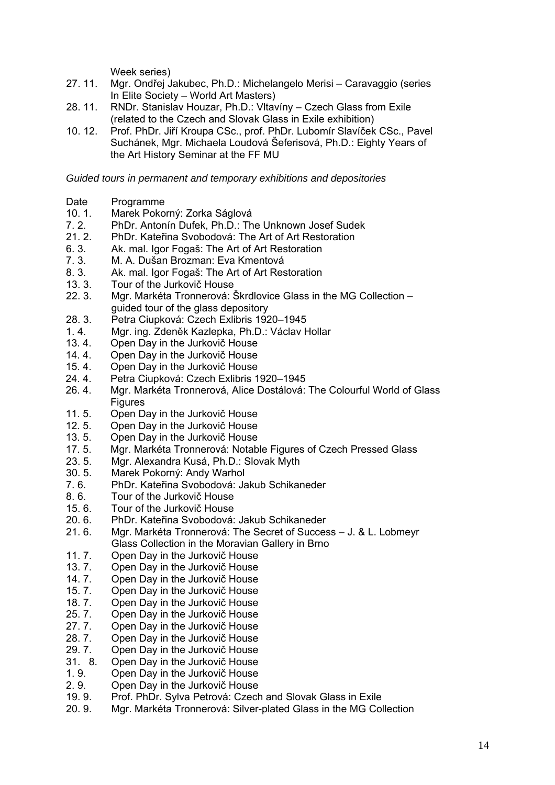Week series)

- 27. 11. Mgr. Ondřej Jakubec, Ph.D.: Michelangelo Merisi Caravaggio (series In Elite Society – World Art Masters)
- 28. 11. RNDr. Stanislav Houzar, Ph.D.: Vltavíny Czech Glass from Exile (related to the Czech and Slovak Glass in Exile exhibition)
- 10. 12. Prof. PhDr. Jiří Kroupa CSc., prof. PhDr. Lubomír Slavíček CSc., Pavel Suchánek, Mgr. Michaela Loudová Šeferisová, Ph.D.: Eighty Years of the Art History Seminar at the FF MU

*Guided tours in permanent and temporary exhibitions and depositories* 

- Date Programme
- 10. 1. Marek Pokorný: Zorka Ságlová
- 7. 2. PhDr. Antonín Dufek, Ph.D.: The Unknown Josef Sudek
- 21. 2. PhDr. Kateřina Svobodová: The Art of Art Restoration
- 6. 3. Ak. mal. Igor Fogaš: The Art of Art Restoration
- 7. 3. M. A. Dušan Brozman: Eva Kmentová
- 8. 3. Ak. mal. Igor Fogaš: The Art of Art Restoration
- 13. 3. Tour of the Jurkovič House
- 22. 3. Mgr. Markéta Tronnerová: Škrdlovice Glass in the MG Collection guided tour of the glass depository
- 28. 3. Petra Ciupková: Czech Exlibris 1920–1945<br>1. 4. Mar. ing. Zdeněk Kazlenka, Ph.D.: Václav H
- Mgr. ing. Zdeněk Kazlepka, Ph.D.: Václav Hollar
- 13. 4. Open Day in the Jurkovič House
- 14. 4. Open Day in the Jurkovič House
- 15. 4. Open Day in the Jurkovič House
- 24. 4. Petra Ciupková: Czech Exlibris 1920–1945
- 26. 4. Mgr. Markéta Tronnerová, Alice Dostálová: The Colourful World of Glass **Figures**
- 11. 5. Open Day in the Jurkovič House<br>12. 5. Open Day in the Jurkovič House
- Open Day in the Jurkovič House
- 13. 5. Open Day in the Jurkovič House
- 17. 5. Mgr. Markéta Tronnerová: Notable Figures of Czech Pressed Glass
- 23. 5. Mgr. Alexandra Kusá, Ph.D.: Slovak Myth
- 30. 5. Marek Pokorný: Andy Warhol
- 7. 6. PhDr. Kateřina Svobodová: Jakub Schikaneder
- 8. 6. Tour of the Jurkovič House
- 15. 6. Tour of the Jurkovič House
- 20. 6. PhDr. Kateřina Svobodová: Jakub Schikaneder
- 21. 6. Mgr. Markéta Tronnerová: The Secret of Success J. & L. Lobmeyr Glass Collection in the Moravian Gallery in Brno
- 
- 11. 7. Open Day in the Jurkovič House<br>13. 7. Open Day in the Jurkovič House Open Day in the Jurkovič House
- 14. 7. Open Day in the Jurkovič House<br>15. 7. Open Day in the Jurkovič House
- Open Day in the Jurkovič House
- 18. 7. Open Day in the Jurkovič House
- 25. 7. Open Day in the Jurkovič House
- 27. 7. Open Day in the Jurkovič House
- 28. 7. Open Day in the Jurkovič House
- 29. 7. Open Day in the Jurkovič House
- 31. 8. Open Day in the Jurkovič House
- 1. 9. Open Day in the Jurkovič House
- 2. 9. Open Day in the Jurkovič House
- 19. 9. Prof. PhDr. Sylva Petrová: Czech and Slovak Glass in Exile
- 20. 9. Mgr. Markéta Tronnerová: Silver-plated Glass in the MG Collection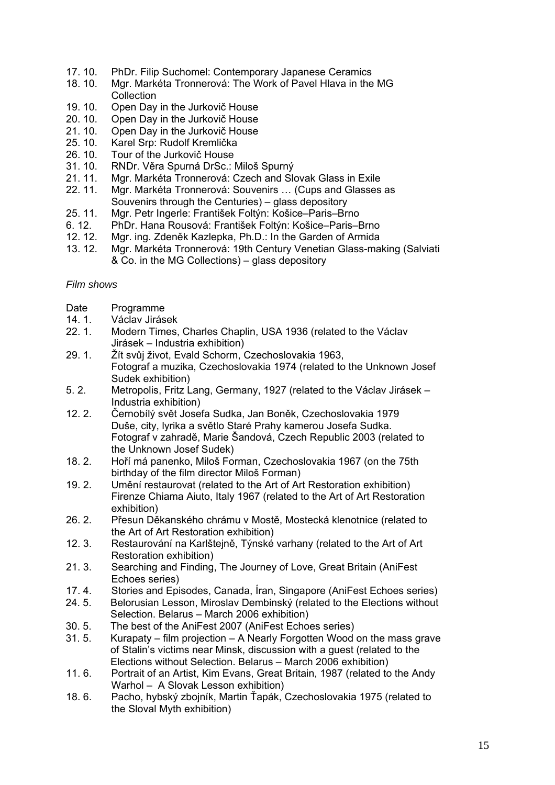- 17. 10. PhDr. Filip Suchomel: Contemporary Japanese Ceramics
- 18. 10. Mgr. Markéta Tronnerová: The Work of Pavel Hlava in the MG **Collection**
- 19. 10. Open Day in the Jurkovič House
- 20. 10. Open Day in the Jurkovič House<br>21. 10. Open Day in the Jurkovič House
- Open Day in the Jurkovič House
- 25. 10. Karel Srp: Rudolf Kremlička
- 26. 10. Tour of the Jurkovič House
- 31. 10. RNDr. Věra Spurná DrSc.: Miloš Spurný
- 21. 11. Mgr. Markéta Tronnerová: Czech and Slovak Glass in Exile
- 22. 11. Mgr. Markéta Tronnerová: Souvenirs … (Cups and Glasses as Souvenirs through the Centuries) – glass depository
- 25. 11. Mgr. Petr Ingerle: František Foltýn: Košice–Paris–Brno
- 6. 12. PhDr. Hana Rousová: František Foltýn: Košice–Paris–Brno
- 12. 12. Mgr. ing. Zdeněk Kazlepka, Ph.D.: In the Garden of Armida
- 13. 12. Mgr. Markéta Tronnerová: 19th Century Venetian Glass-making (Salviati & Co. in the MG Collections) – glass depository

## *Film shows*

- Date Programme
- 14. 1. Václav Jirásek<br>22. 1. Modern Times.
- Modern Times, Charles Chaplin, USA 1936 (related to the Václav Jirásek – Industria exhibition)
- 29. 1. Žít svůj život, Evald Schorm, Czechoslovakia 1963, Fotograf a muzika, Czechoslovakia 1974 (related to the Unknown Josef Sudek exhibition)
- 5. 2. Metropolis, Fritz Lang, Germany, 1927 (related to the Václav Jirásek Industria exhibition)
- 12. 2. Černobílý svět Josefa Sudka, Jan Boněk, Czechoslovakia 1979 Duše, city, lyrika a světlo Staré Prahy kamerou Josefa Sudka. Fotograf v zahradě, Marie Šandová, Czech Republic 2003 (related to the Unknown Josef Sudek)
- 18. 2. Hoří má panenko, Miloš Forman, Czechoslovakia 1967 (on the 75th birthday of the film director Miloš Forman)
- 19. 2. Umění restaurovat (related to the Art of Art Restoration exhibition) Firenze Chiama Aiuto, Italy 1967 (related to the Art of Art Restoration exhibition)
- 26. 2. Přesun Děkanského chrámu v Mostě, Mostecká klenotnice (related to the Art of Art Restoration exhibition)
- 12. 3. Restaurování na Karlštejně, Týnské varhany (related to the Art of Art Restoration exhibition)
- 21. 3. Searching and Finding, The Journey of Love, Great Britain (AniFest Echoes series)
- 17. 4. Stories and Episodes, Canada, Íran, Singapore (AniFest Echoes series)
- 24. 5. Belorusian Lesson, Miroslav Dembinský (related to the Elections without Selection. Belarus – March 2006 exhibition)
- 30. 5. The best of the AniFest 2007 (AniFest Echoes series)
- 31. 5. Kurapaty film projection A Nearly Forgotten Wood on the mass grave of Stalin's victims near Minsk, discussion with a guest (related to the Elections without Selection. Belarus – March 2006 exhibition)
- 11. 6. Portrait of an Artist, Kim Evans, Great Britain, 1987 (related to the Andy Warhol – A Slovak Lesson exhibition)
- 18. 6. Pacho, hybský zbojník, Martin Ťapák, Czechoslovakia 1975 (related to the Sloval Myth exhibition)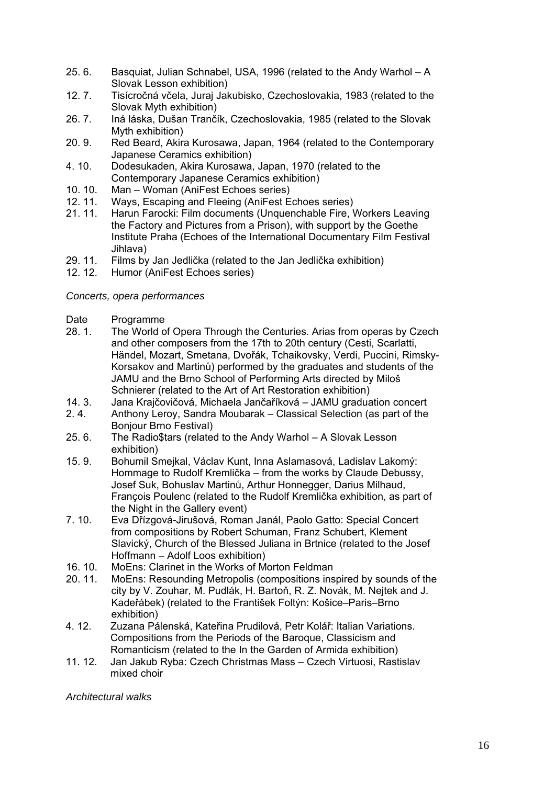- 25. 6. Basquiat, Julian Schnabel, USA, 1996 (related to the Andy Warhol A Slovak Lesson exhibition)
- 12. 7. Tisícročná včela, Juraj Jakubisko, Czechoslovakia, 1983 (related to the Slovak Myth exhibition)
- 26. 7. Iná láska, Dušan Trančík, Czechoslovakia, 1985 (related to the Slovak Myth exhibition)
- 20. 9. Red Beard, Akira Kurosawa, Japan, 1964 (related to the Contemporary Japanese Ceramics exhibition)
- 4. 10. Dodesukaden, Akira Kurosawa, Japan, 1970 (related to the Contemporary Japanese Ceramics exhibition)
- 10. 10. Man Woman (AniFest Echoes series)
- 12. 11. Ways, Escaping and Fleeing (AniFest Echoes series)
- 21. 11. Harun Farocki: Film documents (Unquenchable Fire, Workers Leaving the Factory and Pictures from a Prison), with support by the Goethe Institute Praha (Echoes of the International Documentary Film Festival Jihlava)
- 29. 11. Films by Jan Jedlička (related to the Jan Jedlička exhibition)
- 12. 12. Humor (AniFest Echoes series)

## *Concerts, opera performances*

- Date Programme<br>28.1. The World of
- The World of Opera Through the Centuries. Arias from operas by Czech and other composers from the 17th to 20th century (Cesti, Scarlatti, Händel, Mozart, Smetana, Dvořák, Tchaikovsky, Verdi, Puccini, Rimsky-Korsakov and Martinů) performed by the graduates and students of the JAMU and the Brno School of Performing Arts directed by Miloš Schnierer (related to the Art of Art Restoration exhibition)
- 14. 3. Jana Krajčovičová, Michaela Jančaříková JAMU graduation concert
- 2. 4. Anthony Leroy, Sandra Moubarak Classical Selection (as part of the Bonjour Brno Festival)
- 25. 6. The Radio\$tars (related to the Andy Warhol A Slovak Lesson exhibition)
- 15. 9. Bohumil Smejkal, Václav Kunt, Inna Aslamasová, Ladislav Lakomý: Hommage to Rudolf Kremlička – from the works by Claude Debussy, Josef Suk, Bohuslav Martinů, Arthur Honnegger, Darius Milhaud, François Poulenc (related to the Rudolf Kremlička exhibition, as part of the Night in the Gallery event)
- 7. 10. Eva Dřízgová-Jirušová, Roman Janál, Paolo Gatto: Special Concert from compositions by Robert Schuman, Franz Schubert, Klement Slavický, Church of the Blessed Juliana in Brtnice (related to the Josef Hoffmann – Adolf Loos exhibition)
- 16. 10. MoEns: Clarinet in the Works of Morton Feldman
- 20. 11. MoEns: Resounding Metropolis (compositions inspired by sounds of the city by V. Zouhar, M. Pudlák, H. Bartoň, R. Z. Novák, M. Nejtek and J. Kadeřábek) (related to the František Foltýn: Košice–Paris–Brno exhibition)
- 4. 12. Zuzana Pálenská, Kateřina Prudilová, Petr Kolář: Italian Variations. Compositions from the Periods of the Baroque, Classicism and Romanticism (related to the In the Garden of Armida exhibition)
- 11. 12. Jan Jakub Ryba: Czech Christmas Mass Czech Virtuosi, Rastislav mixed choir

*Architectural walks*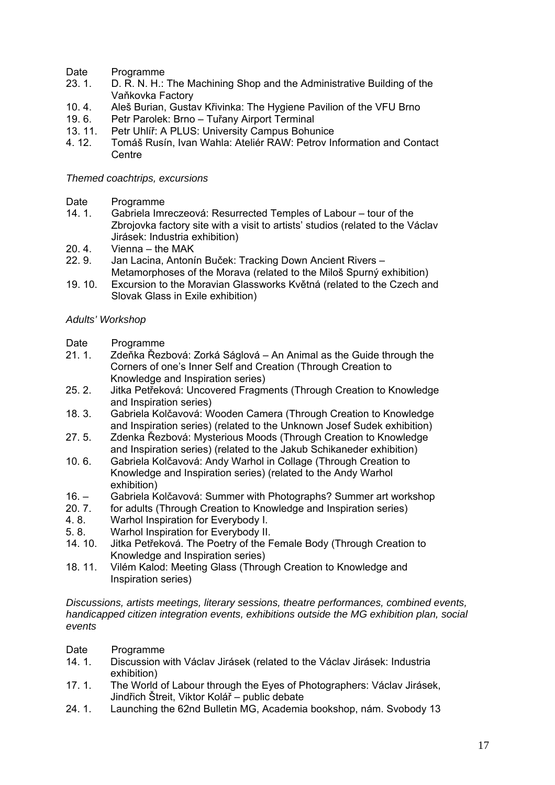- Date Programme
- 23. 1. D. R. N. H.: The Machining Shop and the Administrative Building of the Vaňkovka Factory
- 10. 4. Aleš Burian, Gustav Křivinka: The Hygiene Pavilion of the VFU Brno
- 19. 6. Petr Parolek: Brno Tuřany Airport Terminal<br>13. 11. Petr Uhlíř: A PLUS: University Campus Bohui
- Petr Uhlíř: A PLUS: University Campus Bohunice
- 4. 12. Tomáš Rusín, Ivan Wahla: Ateliér RAW: Petrov Information and Contact **Centre**

## *Themed coachtrips, excursions*

- Date Programme
- 14. 1. Gabriela Imreczeová: Resurrected Temples of Labour tour of the Zbrojovka factory site with a visit to artists' studios (related to the Václav Jirásek: Industria exhibition)
- 20. 4. Vienna the MAK
- 22. 9. Jan Lacina, Antonín Buček: Tracking Down Ancient Rivers Metamorphoses of the Morava (related to the Miloš Spurný exhibition)
- 19. 10. Excursion to the Moravian Glassworks Květná (related to the Czech and Slovak Glass in Exile exhibition)

## *Adults' Workshop*

- Date Programme
- 21. 1. Zdeňka Řezbová: Zorká Ságlová An Animal as the Guide through the Corners of one's Inner Self and Creation (Through Creation to Knowledge and Inspiration series)
- 25. 2. Jitka Petřeková: Uncovered Fragments (Through Creation to Knowledge and Inspiration series)
- 18. 3. Gabriela Kolčavová: Wooden Camera (Through Creation to Knowledge and Inspiration series) (related to the Unknown Josef Sudek exhibition)
- 27. 5. Zdenka Řezbová: Mysterious Moods (Through Creation to Knowledge and Inspiration series) (related to the Jakub Schikaneder exhibition)
- 10. 6. Gabriela Kolčavová: Andy Warhol in Collage (Through Creation to Knowledge and Inspiration series) (related to the Andy Warhol exhibition)
- $16. -$ Gabriela Kolčavová: Summer with Photographs? Summer art workshop
- 20. 7. for adults (Through Creation to Knowledge and Inspiration series)
- 4. 8. Warhol Inspiration for Everybody I.
- 5. 8. Warhol Inspiration for Everybody II.
- 14. 10. Jitka Petřeková. The Poetry of the Female Body (Through Creation to Knowledge and Inspiration series)
- 18. 11. Vilém Kalod: Meeting Glass (Through Creation to Knowledge and Inspiration series)

*Discussions, artists meetings, literary sessions, theatre performances, combined events, handicapped citizen integration events, exhibitions outside the MG exhibition plan, social events* 

Date Programme

- 14. 1. Discussion with Václav Jirásek (related to the Václav Jirásek: Industria exhibition)
- 17. 1. The World of Labour through the Eyes of Photographers: Václav Jirásek, Jindřich Štreit, Viktor Kolář – public debate
- 24. 1. Launching the 62nd Bulletin MG, Academia bookshop, nám. Svobody 13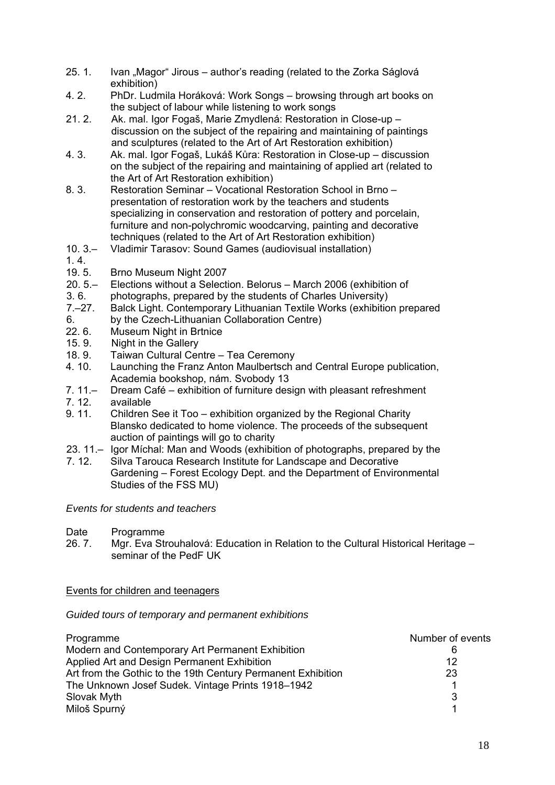- 25. 1. Ivan "Magor" Jirous author's reading (related to the Zorka Ságlová exhibition)
- 4. 2. PhDr. Ludmila Horáková: Work Songs browsing through art books on the subject of labour while listening to work songs
- 21. 2. Ak. mal. Igor Fogaš, Marie Zmydlená: Restoration in Close-up discussion on the subject of the repairing and maintaining of paintings and sculptures (related to the Art of Art Restoration exhibition)
- 4. 3. Ak. mal. Igor Fogaš, Lukáš Kůra: Restoration in Close-up discussion on the subject of the repairing and maintaining of applied art (related to the Art of Art Restoration exhibition)
- 8. 3. Restoration Seminar Vocational Restoration School in Brno presentation of restoration work by the teachers and students specializing in conservation and restoration of pottery and porcelain, furniture and non-polychromic woodcarving, painting and decorative techniques (related to the Art of Art Restoration exhibition)
- $10.3 -$ Vladimir Tarasov: Sound Games (audiovisual installation)
- 1. 4.
- 19. 5. Brno Museum Night 2007
- $20.5 -$ Elections without a Selection. Belorus – March 2006 (exhibition of
- 3. 6. photographs, prepared by the students of Charles University)
- 7.–27. Balck Light. Contemporary Lithuanian Textile Works (exhibition prepared
- 6. by the Czech-Lithuanian Collaboration Centre)
- 22. 6. Museum Night in Brtnice
- 15. 9. Night in the Gallery
- 18. 9. Taiwan Cultural Centre Tea Ceremony
- 4. 10. Launching the Franz Anton Maulbertsch and Central Europe publication, Academia bookshop, nám. Svobody 13
- 7. 11.– Dream Café – exhibition of furniture design with pleasant refreshment
- 7. 12. available
- 9. 11. Children See it Too exhibition organized by the Regional Charity Blansko dedicated to home violence. The proceeds of the subsequent auction of paintings will go to charity
- 23. 11.– Igor Míchal: Man and Woods (exhibition of photographs, prepared by the
- 7. 12. Silva Tarouca Research Institute for Landscape and Decorative Gardening – Forest Ecology Dept. and the Department of Environmental Studies of the FSS MU)

## *Events for students and teachers*

- Date Programme
- 26. 7. Mgr. Eva Strouhalová: Education in Relation to the Cultural Historical Heritage seminar of the PedF UK

Events for children and teenagers

## *Guided tours of temporary and permanent exhibitions*

| Programme                                                    | Number of events |
|--------------------------------------------------------------|------------------|
| Modern and Contemporary Art Permanent Exhibition             | 6                |
| Applied Art and Design Permanent Exhibition                  | 12               |
| Art from the Gothic to the 19th Century Permanent Exhibition | 23               |
| The Unknown Josef Sudek. Vintage Prints 1918-1942            |                  |
| Slovak Myth                                                  | 3                |
| Miloš Spurný                                                 |                  |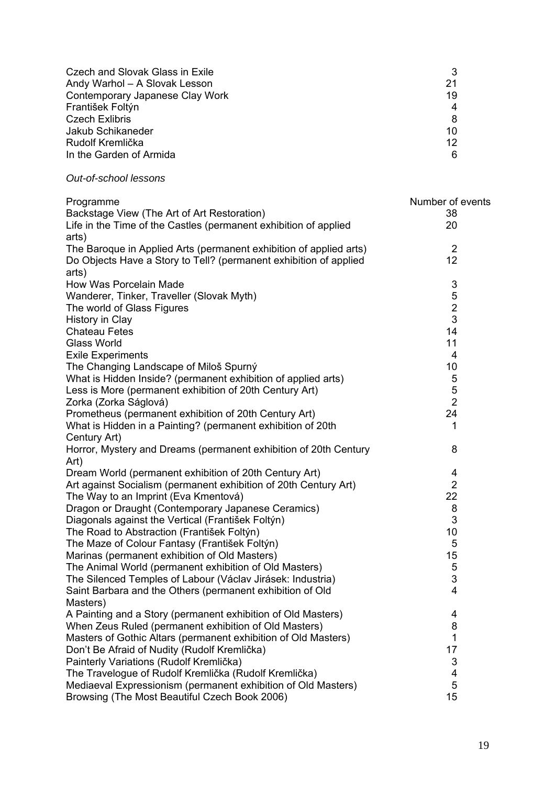| Czech and Slovak Glass in Exile                                           | 3                |
|---------------------------------------------------------------------------|------------------|
| Andy Warhol - A Slovak Lesson                                             | 21               |
| Contemporary Japanese Clay Work                                           | 19               |
| František Foltýn                                                          | 4                |
| <b>Czech Exlibris</b>                                                     | 8                |
| Jakub Schikaneder                                                         | 10               |
| Rudolf Kremlička                                                          | 12               |
| In the Garden of Armida                                                   | 6                |
| Out-of-school lessons                                                     |                  |
| Programme                                                                 | Number of events |
| Backstage View (The Art of Art Restoration)                               | 38               |
| Life in the Time of the Castles (permanent exhibition of applied<br>arts) | 20               |

| arts)                                                              |                         |
|--------------------------------------------------------------------|-------------------------|
| The Baroque in Applied Arts (permanent exhibition of applied arts) | $\overline{2}$          |
| Do Objects Have a Story to Tell? (permanent exhibition of applied  | 12                      |
| arts)                                                              |                         |
| How Was Porcelain Made                                             | 3                       |
| Wanderer, Tinker, Traveller (Slovak Myth)                          | 5                       |
| The world of Glass Figures                                         | $\overline{2}$          |
| History in Clay                                                    | 3                       |
| <b>Chateau Fetes</b>                                               | 14                      |
| <b>Glass World</b>                                                 | 11                      |
| <b>Exile Experiments</b>                                           | 4                       |
| The Changing Landscape of Miloš Spurný                             | 10                      |
| What is Hidden Inside? (permanent exhibition of applied arts)      | 5                       |
| Less is More (permanent exhibition of 20th Century Art)            | 5                       |
| Zorka (Zorka Ságlová)                                              | $\overline{2}$          |
| Prometheus (permanent exhibition of 20th Century Art)              | 24                      |
| What is Hidden in a Painting? (permanent exhibition of 20th        | 1                       |
| Century Art)                                                       |                         |
| Horror, Mystery and Dreams (permanent exhibition of 20th Century   | 8                       |
| Art)                                                               |                         |
| Dream World (permanent exhibition of 20th Century Art)             | 4                       |
| Art against Socialism (permanent exhibition of 20th Century Art)   | $\overline{2}$          |
| The Way to an Imprint (Eva Kmentová)                               | 22                      |
| Dragon or Draught (Contemporary Japanese Ceramics)                 | 8                       |
| Diagonals against the Vertical (František Foltýn)                  | 3                       |
| The Road to Abstraction (František Foltýn)                         | 10                      |
| The Maze of Colour Fantasy (František Foltýn)                      | 5                       |
| Marinas (permanent exhibition of Old Masters)                      | 15                      |
| The Animal World (permanent exhibition of Old Masters)             | 5                       |
| The Silenced Temples of Labour (Václav Jirásek: Industria)         | 3                       |
| Saint Barbara and the Others (permanent exhibition of Old          | $\overline{4}$          |
| Masters)                                                           |                         |
| A Painting and a Story (permanent exhibition of Old Masters)       | $\overline{\mathbf{4}}$ |
| When Zeus Ruled (permanent exhibition of Old Masters)              | 8                       |
| Masters of Gothic Altars (permanent exhibition of Old Masters)     | 1                       |
| Don't Be Afraid of Nudity (Rudolf Kremlička)                       | 17                      |
| Painterly Variations (Rudolf Kremlička)                            | 3                       |
| The Travelogue of Rudolf Kremlička (Rudolf Kremlička)              | 4                       |
| Mediaeval Expressionism (permanent exhibition of Old Masters)      | 5                       |
| Browsing (The Most Beautiful Czech Book 2006)                      | 15                      |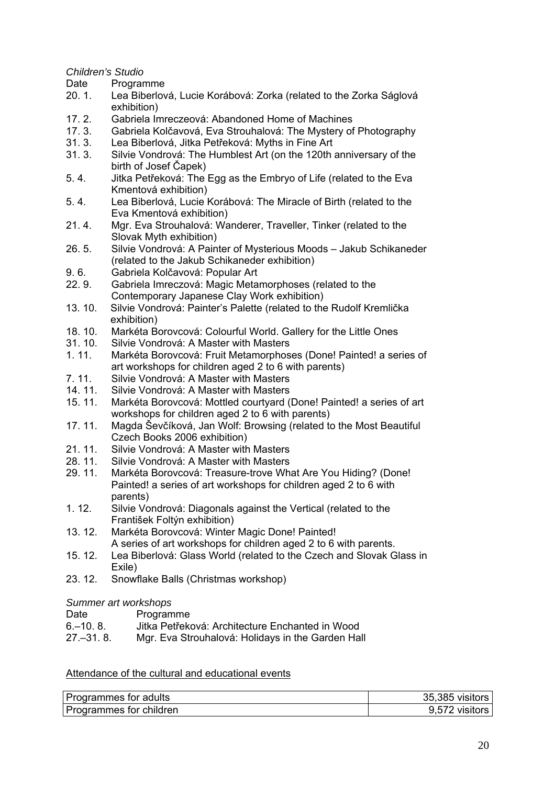*Children's Studio* 

Date Programme

- 20. 1. Lea Biberlová, Lucie Korábová: Zorka (related to the Zorka Ságlová exhibition)
- 17. 2. Gabriela Imreczeová: Abandoned Home of Machines<br>17. 3. Gabriela Kolčavová, Eva Strouhalová: The Mystery of
- 17. 3. Gabriela Kolčavová, Eva Strouhalová: The Mystery of Photography
- 31. 3. Lea Biberlová, Jitka Petřeková: Myths in Fine Art
- 31. 3. Silvie Vondrová: The Humblest Art (on the 120th anniversary of the birth of Josef Čapek)
- 5. 4. Jitka Petřeková: The Egg as the Embryo of Life (related to the Eva Kmentová exhibition)
- 5. 4. Lea Biberlová, Lucie Korábová: The Miracle of Birth (related to the Eva Kmentová exhibition)
- 21. 4. Mgr. Eva Strouhalová: Wanderer, Traveller, Tinker (related to the Slovak Myth exhibition)
- 26. 5. Silvie Vondrová: A Painter of Mysterious Moods Jakub Schikaneder (related to the Jakub Schikaneder exhibition)
- 9. 6. Gabriela Kolčavová: Popular Art
- 22. 9. Gabriela Imreczová: Magic Metamorphoses (related to the Contemporary Japanese Clay Work exhibition)
- 13. 10. Silvie Vondrová: Painter's Palette (related to the Rudolf Kremlička exhibition)
- 18. 10. Markéta Borovcová: Colourful World. Gallery for the Little Ones
- 31. 10. Silvie Vondrová: A Master with Masters<br>1. 11. Markéta Borovcová: Fruit Metamorphos
- Markéta Borovcová: Fruit Metamorphoses (Done! Painted! a series of art workshops for children aged 2 to 6 with parents)
- 7. 11. Silvie Vondrová: A Master with Masters
- 14. 11. Silvie Vondrová: A Master with Masters<br>15. 11. Markéta Borovcová: Mottled courtyard (
- Markéta Borovcová: Mottled courtyard (Done! Painted! a series of art workshops for children aged 2 to 6 with parents)
- 17. 11. Magda Ševčíková, Jan Wolf: Browsing (related to the Most Beautiful Czech Books 2006 exhibition)
- 21. 11. Silvie Vondrová: A Master with Masters
- 28. 11. Silvie Vondrová: A Master with Masters
- 29. 11. Markéta Borovcová: Treasure-trove What Are You Hiding? (Done! Painted! a series of art workshops for children aged 2 to 6 with parents)
- 1. 12. Silvie Vondrová: Diagonals against the Vertical (related to the František Foltýn exhibition)
- 13. 12. Markéta Borovcová: Winter Magic Done! Painted! A series of art workshops for children aged 2 to 6 with parents.
- 15. 12. Lea Biberlová: Glass World (related to the Czech and Slovak Glass in Exile)
- 23. 12. Snowflake Balls (Christmas workshop)

## *Summer art workshops*

| Date | Programme |
|------|-----------|

- 6.–10. 8. Jitka Petřeková: Architecture Enchanted in Wood
- 27.–31. 8. Mgr. Eva Strouhalová: Holidays in the Garden Hall

## Attendance of the cultural and educational events

| Programmes for adults   | 35,385 visitors |
|-------------------------|-----------------|
| Programmes for children | 9,572 visitors  |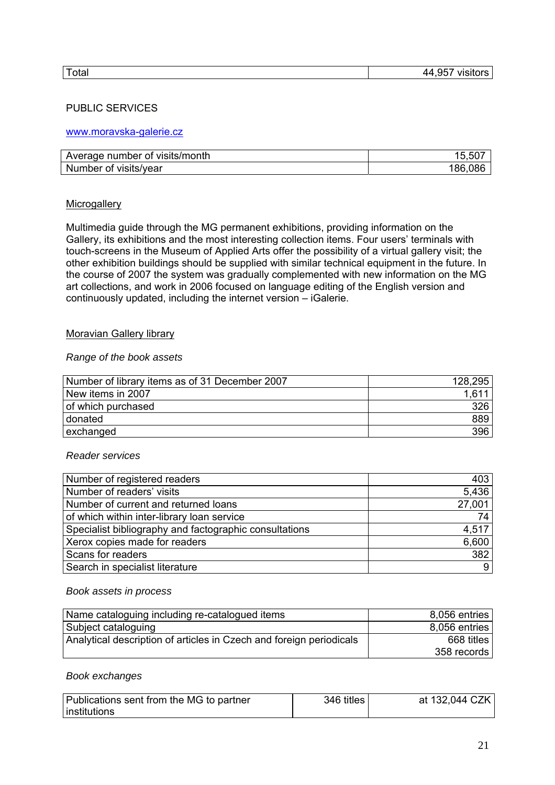## PUBLIC SERVICES

### www.moravska-galerie.cz

| Average number of visits/month | 15,507  |
|--------------------------------|---------|
| Number of visits/year          | 186,086 |

#### **Microgallery**

Multimedia guide through the MG permanent exhibitions, providing information on the Gallery, its exhibitions and the most interesting collection items. Four users' terminals with touch-screens in the Museum of Applied Arts offer the possibility of a virtual gallery visit; the other exhibition buildings should be supplied with similar technical equipment in the future. In the course of 2007 the system was gradually complemented with new information on the MG art collections, and work in 2006 focused on language editing of the English version and continuously updated, including the internet version – iGalerie.

#### Moravian Gallery library

#### *Range of the book assets*

| Number of library items as of 31 December 2007 | 128,295 |
|------------------------------------------------|---------|
| New items in 2007                              |         |
| of which purchased                             | 326     |
| donated                                        | 889     |
| exchanged                                      | 396     |

#### *Reader services*

| Number of registered readers                           | 403    |
|--------------------------------------------------------|--------|
| Number of readers' visits                              | 5,436  |
| Number of current and returned loans                   | 27,001 |
| of which within inter-library loan service             | 74     |
| Specialist bibliography and factographic consultations | 4,517  |
| Xerox copies made for readers                          | 6,600  |
| Scans for readers                                      | 382    |
| Search in specialist literature                        | 9      |

#### *Book assets in process*

| Name cataloguing including re-catalogued items                      | 8,056 entries |
|---------------------------------------------------------------------|---------------|
| Subject cataloguing                                                 | 8,056 entries |
| Analytical description of articles in Czech and foreign periodicals | 668 titles    |
|                                                                     | 358 records   |

#### *Book exchanges*

| Publications sent from the MG to partner | 346 titles | at 132,044 CZK |
|------------------------------------------|------------|----------------|
| institutions                             |            |                |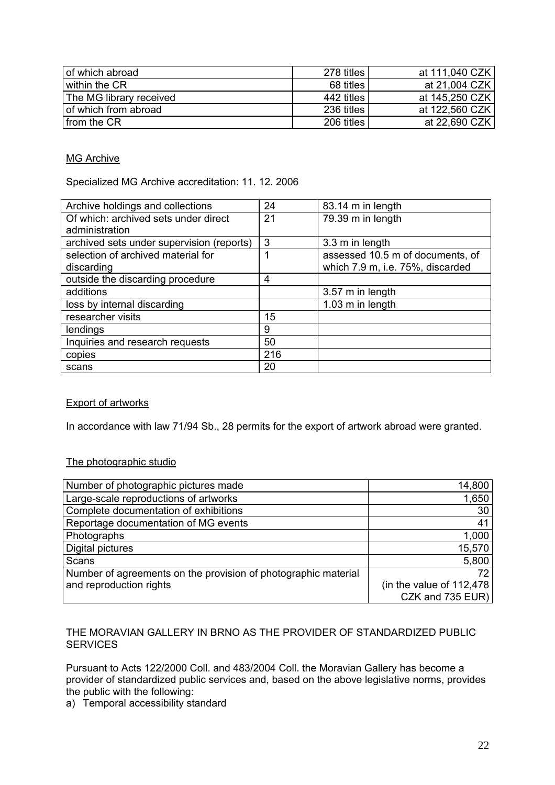| of which abroad         | 278 titles | at 111,040 CZK |
|-------------------------|------------|----------------|
| within the CR           | 68 titles  | at 21,004 CZK  |
| The MG library received | 442 titles | at 145,250 CZK |
| of which from abroad    | 236 titles | at 122,560 CZK |
| I from the CR           | 206 titles | at 22,690 CZK  |

## MG Archive

Specialized MG Archive accreditation: 11. 12. 2006

| Archive holdings and collections          | 24  | 83.14 m in length                |
|-------------------------------------------|-----|----------------------------------|
| Of which: archived sets under direct      | 21  | 79.39 m in length                |
| administration                            |     |                                  |
| archived sets under supervision (reports) | 3   | 3.3 m in length                  |
| selection of archived material for        |     | assessed 10.5 m of documents, of |
| discarding                                |     | which 7.9 m, i.e. 75%, discarded |
| outside the discarding procedure          | 4   |                                  |
| additions                                 |     | 3.57 m in length                 |
| loss by internal discarding               |     | 1.03 m in length                 |
| researcher visits                         | 15  |                                  |
| lendings                                  | 9   |                                  |
| Inquiries and research requests           | 50  |                                  |
| copies                                    | 216 |                                  |
| scans                                     | 20  |                                  |

## Export of artworks

In accordance with law 71/94 Sb., 28 permits for the export of artwork abroad were granted.

## The photographic studio

| Number of photographic pictures made                           | 14,800                     |
|----------------------------------------------------------------|----------------------------|
| Large-scale reproductions of artworks                          | 1,650                      |
| Complete documentation of exhibitions                          | 30                         |
| Reportage documentation of MG events                           | 41                         |
| Photographs                                                    | 1,000                      |
| Digital pictures                                               | 15,570                     |
| Scans                                                          | 5,800                      |
| Number of agreements on the provision of photographic material | 72.                        |
| and reproduction rights                                        | (in the value of $112,478$ |
|                                                                | CZK and 735 EUR)           |

## THE MORAVIAN GALLERY IN BRNO AS THE PROVIDER OF STANDARDIZED PUBLIC **SERVICES**

Pursuant to Acts 122/2000 Coll. and 483/2004 Coll. the Moravian Gallery has become a provider of standardized public services and, based on the above legislative norms, provides the public with the following:

a) Temporal accessibility standard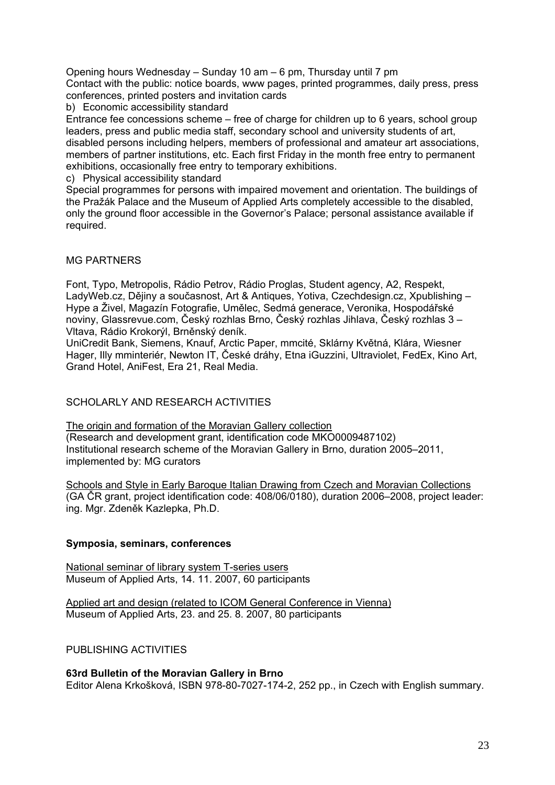Opening hours Wednesday – Sunday 10 am – 6 pm, Thursday until 7 pm Contact with the public: notice boards, www pages, printed programmes, daily press, press conferences, printed posters and invitation cards

b) Economic accessibility standard

Entrance fee concessions scheme – free of charge for children up to 6 years, school group leaders, press and public media staff, secondary school and university students of art, disabled persons including helpers, members of professional and amateur art associations, members of partner institutions, etc. Each first Friday in the month free entry to permanent exhibitions, occasionally free entry to temporary exhibitions.

c) Physical accessibility standard

Special programmes for persons with impaired movement and orientation. The buildings of the Pražák Palace and the Museum of Applied Arts completely accessible to the disabled, only the ground floor accessible in the Governor's Palace; personal assistance available if required.

## MG PARTNERS

Font, Typo, Metropolis, Rádio Petrov, Rádio Proglas, Student agency, A2, Respekt, LadyWeb.cz, Dějiny a současnost, Art & Antiques, Yotiva, Czechdesign.cz, Xpublishing – Hype a Živel, Magazín Fotografie, Umělec, Sedmá generace, Veronika, Hospodářské noviny, Glassrevue.com, Český rozhlas Brno, Český rozhlas Jihlava, Český rozhlas 3 – Vltava, Rádio Krokorýl, Brněnský deník.

UniCredit Bank, Siemens, Knauf, Arctic Paper, mmcité, Sklárny Květná, Klára, Wiesner Hager, Illy mminteriér, Newton IT, České dráhy, Etna iGuzzini, Ultraviolet, FedEx, Kino Art, Grand Hotel, AniFest, Era 21, Real Media.

## SCHOLARLY AND RESEARCH ACTIVITIES

The origin and formation of the Moravian Gallery collection (Research and development grant, identification code MKO0009487102) Institutional research scheme of the Moravian Gallery in Brno, duration 2005–2011, implemented by: MG curators

Schools and Style in Early Baroque Italian Drawing from Czech and Moravian Collections (GA ČR grant, project identification code: 408/06/0180), duration 2006–2008, project leader: ing. Mgr. Zdeněk Kazlepka, Ph.D.

## **Symposia, seminars, conferences**

National seminar of library system T-series users Museum of Applied Arts, 14. 11. 2007, 60 participants

Applied art and design (related to ICOM General Conference in Vienna) Museum of Applied Arts, 23. and 25. 8. 2007, 80 participants

PUBLISHING ACTIVITIES

**63rd Bulletin of the Moravian Gallery in Brno**  Editor Alena Krkošková, ISBN 978-80-7027-174-2, 252 pp., in Czech with English summary.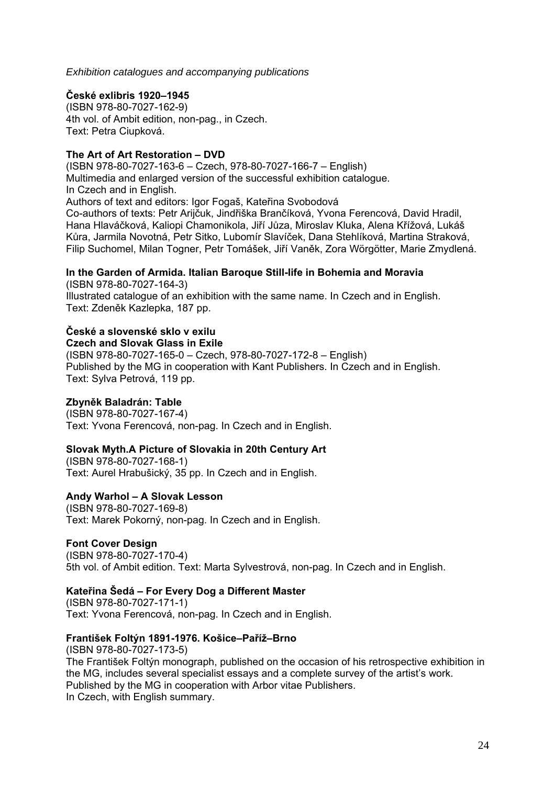*Exhibition catalogues and accompanying publications* 

## **České exlibris 1920–1945**

(ISBN 978-80-7027-162-9) 4th vol. of Ambit edition, non-pag., in Czech. Text: Petra Ciupková.

## **The Art of Art Restoration – DVD**

(ISBN 978-80-7027-163-6 – Czech, 978-80-7027-166-7 – English) Multimedia and enlarged version of the successful exhibition catalogue. In Czech and in English. Authors of text and editors: Igor Fogaš, Kateřina Svobodová Co-authors of texts: Petr Arijčuk, Jindřiška Brančíková, Yvona Ferencová, David Hradil, Hana Hlaváčková, Kaliopi Chamonikola, Jiří Jůza, Miroslav Kluka, Alena Křížová, Lukáš Kůra, Jarmila Novotná, Petr Sitko, Lubomír Slavíček, Dana Stehlíková, Martina Straková, Filip Suchomel, Milan Togner, Petr Tomášek, Jiří Vaněk, Zora Wörgötter, Marie Zmydlená.

## **In the Garden of Armida. Italian Baroque Still-life in Bohemia and Moravia**

(ISBN 978-80-7027-164-3) Illustrated catalogue of an exhibition with the same name. In Czech and in English. Text: Zdeněk Kazlepka, 187 pp.

# **České a slovenské sklo v exilu**

**Czech and Slovak Glass in Exile** 

(ISBN 978-80-7027-165-0 – Czech, 978-80-7027-172-8 – English) Published by the MG in cooperation with Kant Publishers. In Czech and in English. Text: Sylva Petrová, 119 pp.

## **Zbyněk Baladrán: Table**

(ISBN 978-80-7027-167-4) Text: Yvona Ferencová, non-pag. In Czech and in English.

## **Slovak Myth.A Picture of Slovakia in 20th Century Art**

(ISBN 978-80-7027-168-1) Text: Aurel Hrabušický, 35 pp. In Czech and in English.

## **Andy Warhol – A Slovak Lesson**

(ISBN 978-80-7027-169-8) Text: Marek Pokorný, non-pag. In Czech and in English.

## **Font Cover Design**

(ISBN 978-80-7027-170-4) 5th vol. of Ambit edition. Text: Marta Sylvestrová, non-pag. In Czech and in English.

## **Kateřina Šedá – For Every Dog a Different Master**

(ISBN 978-80-7027-171-1) Text: Yvona Ferencová, non-pag. In Czech and in English.

## **František Foltýn 1891-1976. Košice–Paříž–Brno**

(ISBN 978-80-7027-173-5) The František Foltýn monograph, published on the occasion of his retrospective exhibition in the MG, includes several specialist essays and a complete survey of the artist's work. Published by the MG in cooperation with Arbor vitae Publishers. In Czech, with English summary.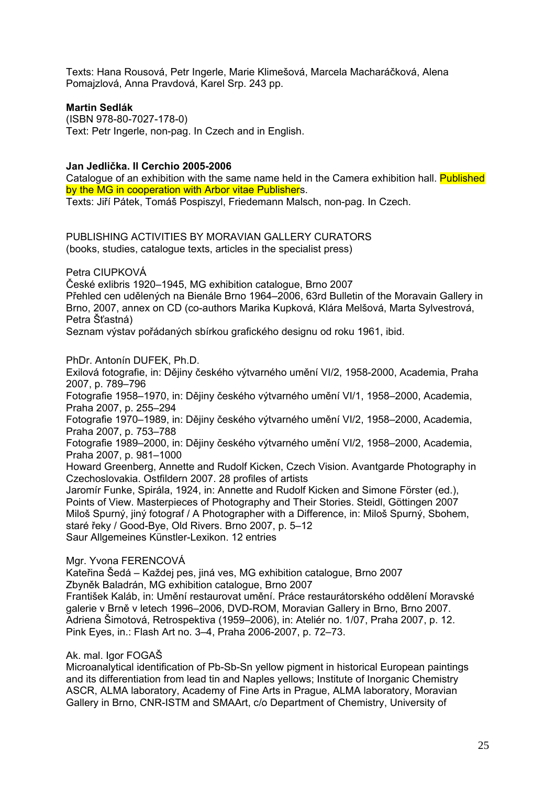Texts: Hana Rousová, Petr Ingerle, Marie Klimešová, Marcela Macharáčková, Alena Pomajzlová, Anna Pravdová, Karel Srp. 243 pp.

### **Martin Sedlák**

(ISBN 978-80-7027-178-0) Text: Petr Ingerle, non-pag. In Czech and in English.

### **Jan Jedlička. Il Cerchio 2005-2006**

Catalogue of an exhibition with the same name held in the Camera exhibition hall. **Published** by the MG in cooperation with Arbor vitae Publishers.

Texts: Jiří Pátek, Tomáš Pospiszyl, Friedemann Malsch, non-pag. In Czech.

PUBLISHING ACTIVITIES BY MORAVIAN GALLERY CURATORS (books, studies, catalogue texts, articles in the specialist press)

Petra CIUPKOVÁ

České exlibris 1920–1945, MG exhibition catalogue, Brno 2007

Přehled cen udělených na Bienále Brno 1964–2006, 63rd Bulletin of the Moravain Gallery in Brno, 2007, annex on CD (co-authors Marika Kupková, Klára Melšová, Marta Sylvestrová, Petra Šťastná)

Seznam výstav pořádaných sbírkou grafického designu od roku 1961, ibid.

PhDr. Antonín DUFEK, Ph.D.

Exilová fotografie, in: Dějiny českého výtvarného umění VI/2, 1958-2000, Academia, Praha 2007, p. 789–796

Fotografie 1958–1970, in: Dějiny českého výtvarného umění VI/1, 1958–2000, Academia, Praha 2007, p. 255–294

Fotografie 1970–1989, in: Dějiny českého výtvarného umění VI/2, 1958–2000, Academia, Praha 2007, p. 753–788

Fotografie 1989–2000, in: Dějiny českého výtvarného umění VI/2, 1958–2000, Academia, Praha 2007, p. 981–1000

Howard Greenberg, Annette and Rudolf Kicken, Czech Vision. Avantgarde Photography in Czechoslovakia. Ostfildern 2007. 28 profiles of artists

Jaromír Funke, Spirála, 1924, in: Annette and Rudolf Kicken and Simone Förster (ed.), Points of View. Masterpieces of Photography and Their Stories. Steidl, Göttingen 2007 Miloš Spurný, jiný fotograf / A Photographer with a Difference, in: Miloš Spurný, Sbohem, staré řeky / Good-Bye, Old Rivers. Brno 2007, p. 5–12 Saur Allgemeines Künstler-Lexikon. 12 entries

#### Mgr. Yvona FERENCOVÁ

Kateřina Šedá – Každej pes, jiná ves, MG exhibition catalogue, Brno 2007 Zbyněk Baladrán, MG exhibition catalogue, Brno 2007

František Kaláb, in: Umění restaurovat umění. Práce restaurátorského oddělení Moravské galerie v Brně v letech 1996–2006, DVD-ROM, Moravian Gallery in Brno, Brno 2007. Adriena Šimotová, Retrospektiva (1959–2006), in: Ateliér no. 1/07, Praha 2007, p. 12. Pink Eyes, in.: Flash Art no. 3–4, Praha 2006-2007, p. 72–73.

#### Ak. mal. Igor FOGAŠ

Microanalytical identification of Pb-Sb-Sn yellow pigment in historical European paintings and its differentiation from lead tin and Naples yellows; Institute of Inorganic Chemistry ASCR, ALMA laboratory, Academy of Fine Arts in Prague, ALMA laboratory, Moravian Gallery in Brno, CNR-ISTM and SMAArt, c/o Department of Chemistry, University of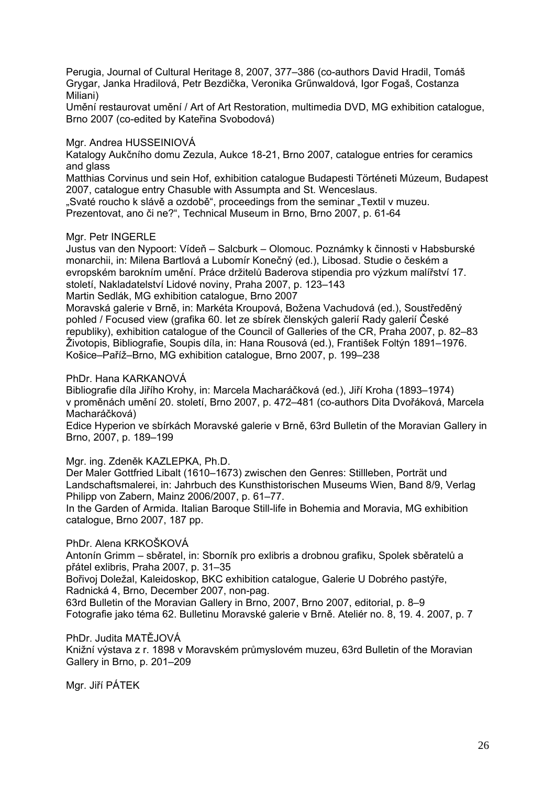Perugia, Journal of Cultural Heritage 8, 2007, 377–386 (co-authors David Hradil, Tomáš Grygar, Janka Hradilová, Petr Bezdička, Veronika Grűnwaldová, Igor Fogaš, Costanza Miliani)

Umění restaurovat umění / Art of Art Restoration, multimedia DVD, MG exhibition catalogue, Brno 2007 (co-edited by Kateřina Svobodová)

Mgr. Andrea HUSSEINIOVÁ

Katalogy Aukčního domu Zezula, Aukce 18-21, Brno 2007, catalogue entries for ceramics and glass

Matthias Corvinus und sein Hof, exhibition catalogue Budapesti Történeti Múzeum, Budapest 2007, catalogue entry Chasuble with Assumpta and St. Wenceslaus.

"Svaté roucho k slávě a ozdobě", proceedings from the seminar "Textil v muzeu. Prezentovat, ano či ne?", Technical Museum in Brno, Brno 2007, p. 61-64

Mgr. Petr INGERLE

Justus van den Nypoort: Vídeň – Salcburk – Olomouc. Poznámky k činnosti v Habsburské monarchii, in: Milena Bartlová a Lubomír Konečný (ed.), Libosad. Studie o českém a evropském barokním umění. Práce držitelů Baderova stipendia pro výzkum malířství 17. století, Nakladatelství Lidové noviny, Praha 2007, p. 123–143

Martin Sedlák, MG exhibition catalogue, Brno 2007

Moravská galerie v Brně, in: Markéta Kroupová, Božena Vachudová (ed.), Soustředěný pohled / Focused view (grafika 60. let ze sbírek členských galerií Rady galerií České republiky), exhibition catalogue of the Council of Galleries of the CR, Praha 2007, p. 82–83 Životopis, Bibliografie, Soupis díla, in: Hana Rousová (ed.), František Foltýn 1891–1976. Košice–Paříž–Brno, MG exhibition catalogue, Brno 2007, p. 199–238

#### PhDr. Hana KARKANOVÁ

Bibliografie díla Jiřího Krohy, in: Marcela Macharáčková (ed.), Jiří Kroha (1893–1974) v proměnách umění 20. století, Brno 2007, p. 472–481 (co-authors Dita Dvořáková, Marcela Macharáčková)

Edice Hyperion ve sbírkách Moravské galerie v Brně, 63rd Bulletin of the Moravian Gallery in Brno, 2007, p. 189–199

Mgr. ing. Zdeněk KAZLEPKA, Ph.D.

Der Maler Gottfried Libalt (1610–1673) zwischen den Genres: Stillleben, Porträt und Landschaftsmalerei, in: Jahrbuch des Kunsthistorischen Museums Wien, Band 8/9, Verlag Philipp von Zabern, Mainz 2006/2007, p. 61–77.

In the Garden of Armida. Italian Baroque Still-life in Bohemia and Moravia, MG exhibition catalogue, Brno 2007, 187 pp.

#### PhDr. Alena KRKOŠKOVÁ

Antonín Grimm – sběratel, in: Sborník pro exlibris a drobnou grafiku, Spolek sběratelů a přátel exlibris, Praha 2007, p. 31–35

Bořivoj Doležal, Kaleidoskop, BKC exhibition catalogue, Galerie U Dobrého pastýře, Radnická 4, Brno, December 2007, non-pag.

63rd Bulletin of the Moravian Gallery in Brno, 2007, Brno 2007, editorial, p. 8–9 Fotografie jako téma 62. Bulletinu Moravské galerie v Brně. Ateliér no. 8, 19. 4. 2007, p. 7

PhDr. Judita MATĚJOVÁ Knižní výstava z r. 1898 v Moravském průmyslovém muzeu, 63rd Bulletin of the Moravian Gallery in Brno, p. 201–209

Mgr. Jiří PÁTEK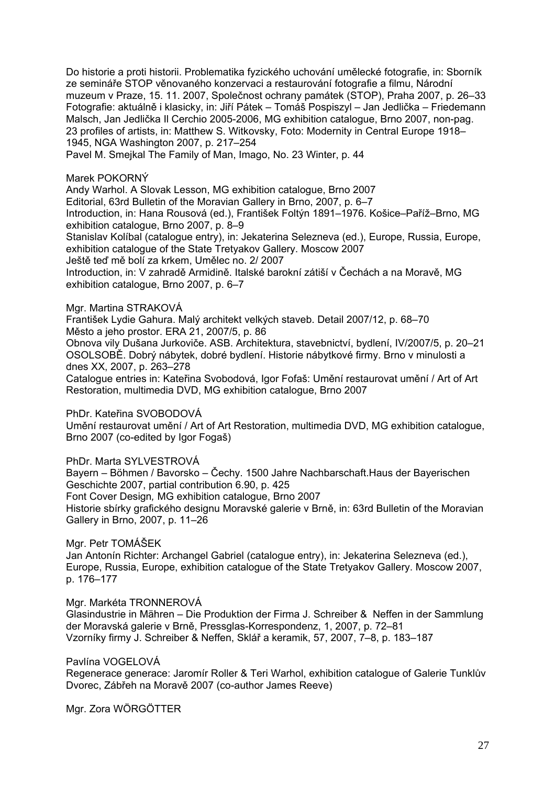Do historie a proti historii. Problematika fyzického uchování umělecké fotografie, in: Sborník ze semináře STOP věnovaného konzervaci a restaurování fotografie a filmu, Národní muzeum v Praze, 15. 11. 2007, Společnost ochrany památek (STOP), Praha 2007, p. 26–33 Fotografie: aktuálně i klasicky, in: Jiří Pátek – Tomáš Pospiszyl – Jan Jedlička – Friedemann Malsch, Jan Jedlička Il Cerchio 2005-2006, MG exhibition catalogue, Brno 2007, non-pag. 23 profiles of artists, in: Matthew S. Witkovsky, Foto: Modernity in Central Europe 1918– 1945, NGA Washington 2007, p. 217–254

Pavel M. Smejkal The Family of Man, Imago, No. 23 Winter, p. 44

### Marek POKORNÝ

Andy Warhol. A Slovak Lesson, MG exhibition catalogue, Brno 2007

Editorial, 63rd Bulletin of the Moravian Gallery in Brno, 2007, p. 6–7

Introduction, in: Hana Rousová (ed.), František Foltýn 1891–1976. Košice–Paříž–Brno, MG exhibition catalogue, Brno 2007, p. 8–9

Stanislav Kolíbal (catalogue entry), in: Jekaterina Selezneva (ed.), Europe, Russia, Europe, exhibition catalogue of the State Tretyakov Gallery. Moscow 2007

Ještě teď mě bolí za krkem, Umělec no. 2/ 2007

Introduction, in: V zahradě Armidině. Italské barokní zátiší v Čechách a na Moravě, MG exhibition catalogue, Brno 2007, p. 6–7

Mgr. Martina STRAKOVÁ

František Lydie Gahura. Malý architekt velkých staveb. Detail 2007/12, p. 68–70 Město a jeho prostor. ERA 21, 2007/5, p. 86

Obnova vily Dušana Jurkoviče. ASB. Architektura, stavebnictví, bydlení, IV/2007/5, p. 20–21 OSOLSOBĚ. Dobrý nábytek, dobré bydlení. Historie nábytkové firmy. Brno v minulosti a dnes XX, 2007, p. 263–278

Catalogue entries in: Kateřina Svobodová, Igor Fofaš: Umění restaurovat umění / Art of Art Restoration, multimedia DVD, MG exhibition catalogue, Brno 2007

PhDr. Kateřina SVOBODOVÁ

Umění restaurovat umění / Art of Art Restoration, multimedia DVD, MG exhibition catalogue, Brno 2007 (co-edited by Igor Fogaš)

PhDr. Marta SYLVESTROVÁ

Bayern – Böhmen / Bavorsko – Čechy. 1500 Jahre Nachbarschaft.Haus der Bayerischen Geschichte 2007, partial contribution 6.90, p. 425 Font Cover Design*,* MG exhibition catalogue, Brno 2007

Historie sbírky grafického designu Moravské galerie v Brně, in: 63rd Bulletin of the Moravian Gallery in Brno, 2007, p. 11–26

Mgr. Petr TOMÁŠEK

Jan Antonín Richter: Archangel Gabriel (catalogue entry), in: Jekaterina Selezneva (ed.), Europe, Russia, Europe, exhibition catalogue of the State Tretyakov Gallery. Moscow 2007, p. 176–177

Mgr. Markéta TRONNEROVÁ

Glasindustrie in Mähren – Die Produktion der Firma J. Schreiber & Neffen in der Sammlung der Moravská galerie v Brně, Pressglas-Korrespondenz, 1, 2007, p. 72–81 Vzorníky firmy J. Schreiber & Neffen, Sklář a keramik, 57, 2007, 7–8, p. 183–187

Pavlína VOGELOVÁ

Regenerace generace: Jaromír Roller & Teri Warhol, exhibition catalogue of Galerie Tunklův Dvorec, Zábřeh na Moravě 2007 (co-author James Reeve)

Mgr. Zora WÖRGÖTTER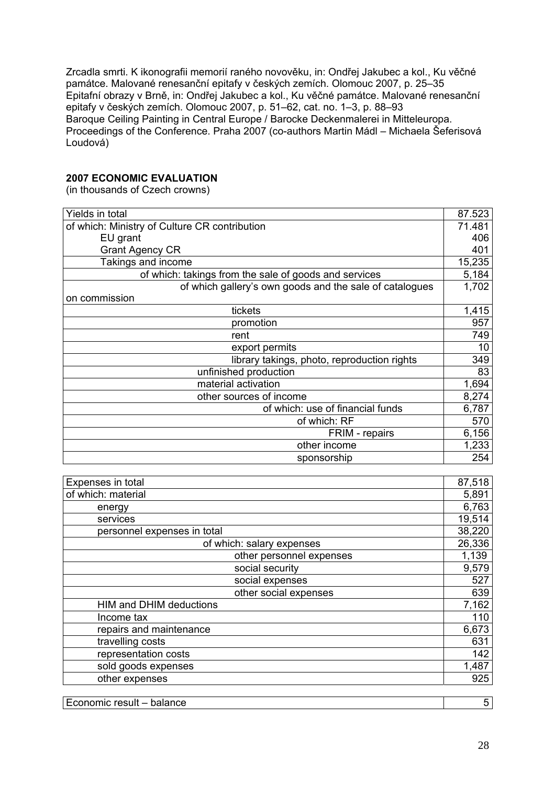Zrcadla smrti. K ikonografii memorií raného novověku, in: Ondřej Jakubec a kol., Ku věčné památce. Malované renesanční epitafy v českých zemích. Olomouc 2007, p. 25–35 Epitafní obrazy v Brně, in: Ondřej Jakubec a kol., Ku věčné památce. Malované renesanční epitafy v českých zemích. Olomouc 2007, p. 51–62, cat. no. 1–3, p. 88–93 Baroque Ceiling Painting in Central Europe / Barocke Deckenmalerei in Mitteleuropa. Proceedings of the Conference. Praha 2007 (co-authors Martin Mádl – Michaela Šeferisová Loudová)

## **2007 ECONOMIC EVALUATION**

(in thousands of Czech crowns)

| Yields in total                                         | 87.523 |
|---------------------------------------------------------|--------|
| of which: Ministry of Culture CR contribution           | 71.481 |
| EU grant                                                | 406    |
| <b>Grant Agency CR</b>                                  | 401    |
| Takings and income                                      | 15,235 |
| of which: takings from the sale of goods and services   | 5,184  |
| of which gallery's own goods and the sale of catalogues | 1,702  |
| on commission                                           |        |
| tickets                                                 | 1,415  |
| promotion                                               | 957    |
| rent                                                    | 749    |
| export permits                                          | 10     |
| library takings, photo, reproduction rights             | 349    |
| unfinished production                                   | 83     |
| material activation                                     | 1,694  |
| other sources of income                                 | 8,274  |
| of which: use of financial funds                        | 6,787  |
| of which: RF                                            | 570    |
| FRIM - repairs                                          | 6,156  |
| other income                                            | 1,233  |
| sponsorship                                             | 254    |
|                                                         |        |
| Evnances in total                                       | 97519  |

| Expenses in total           |                           | 87,518 |
|-----------------------------|---------------------------|--------|
| of which: material          |                           | 5,891  |
| energy                      |                           | 6,763  |
| services                    |                           | 19,514 |
| personnel expenses in total |                           | 38,220 |
|                             | of which: salary expenses | 26,336 |
|                             | other personnel expenses  | 1,139  |
|                             | social security           | 9,579  |
|                             | social expenses           | 527    |
|                             | other social expenses     | 639    |
| HIM and DHIM deductions     |                           | 7,162  |
| Income tax                  |                           | 110    |
| repairs and maintenance     |                           | 6,673  |
| travelling costs            |                           | 631    |
| representation costs        |                           | 142    |
| sold goods expenses         |                           | 1,487  |
| other expenses              |                           | 925    |
|                             |                           |        |

| -<br>aanaanain sanult<br>nn o<br>ь.<br>$\mathbf{1}$ $\mathbf{2}$<br>result<br>ш<br>л к.<br>┍<br>mce<br>. $1 - 1 - 1$ |  |
|----------------------------------------------------------------------------------------------------------------------|--|
|                                                                                                                      |  |